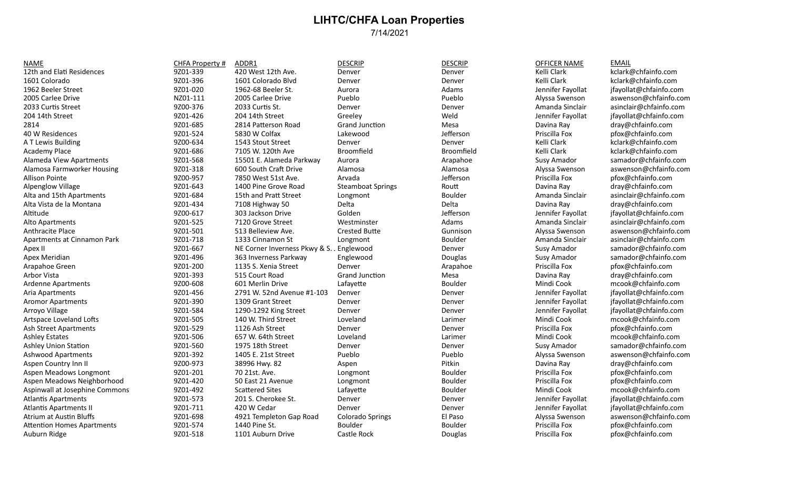## **LIHTC/CHFA Loan Properties** 7/14/2021

NAME CHFA Property # ADDR1 DESCRIP DESCRIP OFFICER NAME EMAIL 12th and Elati Residences 220 19201-339 420 West 12th Ave. Denver Denver Denver Kelli Clark kclark@chfainfo.com 1601 Colorado 9Z01-396 1601 Colorado Blvd Denver Denver Kelli Clark kclark@chfainfo.com 1962 Beeler Street **19hr - 1970-020** 1962-68 Beeler St. Aurora Madams Adams Jennifer Fayollat jfayollat@chfainfo.com 2005 Carlee Drive **NICOL-111** 2005 Carlee Drive Pueblo Pueblo Pueblo Alyssa Swenson aswenson@chfainfo.com 2005 Carlee Drive 2033 Curtis Street 2008 2000-376 2033 Curtis St. Denver Denver Denver Amanda Sinclair asinclair@chfainfo.com 2000-376 2033 Curtis St. 204 14th Street 9Z01-426 204 14th Street Greeley Weld Jennifer Fayollat jfayollat@chfainfo.com 2814 9Z01-685 2814 Paterson Road Grand Juncton Mesa Davina Ray dray@chfainfo.com 40 W Residences 9Z01-524 5830 W Colfax Lakewood Jeferson Priscilla Fox pfox@chfainfo.com A T Lewis Building entitled the State of the State of the State of the State of the State of the State of the State of the State of the State of the State of the State of the State of the State of the State of the State of Academy Place 22011-686 7105 W. 120th Ave Broomfield Broomfield Broomfield Kelli Clark kclark@chfainfo.com Alameda View Apartments **19RD 6COV 15501 E. Alameda Parkway Aurora** Aurora Arapahoe Susy Amador samador@chfainfo.com Alamosa Farmworker Housing **12Com and 12 5201-318** 600 South Craft Drive Alamosa Alamosa Alamosa Alyssa Swenson aswenson@chfainfo.com Allison Pointe 9Z00-957 7850 West 51st Ave. Arvada Jeferson Priscilla Fox pfox@chfainfo.com Alpenglow Village 22020 12201-643 1400 Pine Grove Road Steamboat Springs Routt Davina Ray dray@chfainfo.com and Davina Ray dray@chfainfo.com Alta and 15th Apartments 1980 19201-684 15th and Pratt Street Longmont Boulder Boulder Amanda Sinclair asinclair@chfainfo.com Alta Vista de la Montana 2202 - 9Z01-434 7108 Highway 50 Delta Delta Delta Delta Davina Ray dray@chfainfo.com Altitude 1920 101 303 Jackson Drive Golden Jefferson Jefferson Jennifer Fayollat jfayollat@chfainfo.com 303 Jackson Drive Alto Apartments **12Community 12Community 12Community 12Community Community Adams** Amanda Sinclair asinclair@chfainfo.com Anthracite Place 2202 9Z01-501 513 Belleview Ave. Crested Butte Gunnison Alyssa Swenson aswenson@chfainfo.com and aswenson@chfainfo.com Apartments at Cinnamon Park **12201-718** 1333 Cinnamon St Longmont Boulder Boulder Amanda Sinclair asinclair@chfainfo.com Apex II 9Z01-667 NE Corner Inverness Pkwy & S. Lenglewood Denver Susy Amador Susy Amador Samador@chfainfo.com Apex Meridian 2Z01-496 363 Inverness Parkway Englewood Douglas Susy Amador Sumador of Sumador Samador Samador Sustandor Samador Samador Sustandor Sustandor American Sustandor Sustandor Samador Sustandor Sustandor Sustandor Arapahoe Green 19Z01-200 1135 S. Xenia Street Denver Arapahoe Priscilla Fox pfox@chfainfo.com Arbor Vista 9Z01-393 515 Court Road Grand Juncton Mesa Davina Ray dray@chfainfo.com Ardenne Apartments 2000-608 601 Merlin Drive Lafayette Boulder Boulder Mindi Cook mcook@chfainfo.com Aria Apartments Sand Maria 2001-456 2791 W. 52nd Avenue #1-103 Denver Denver Denver Denver Jennifer Fayollat jfayollat@chfainfo.com Aromor Apartments 2002 9Z01-390 1309 Grant Street Denver Denver Denver Denver Jennifer Fayollat jfayollat@chfainfo.com Arroyo Village 2Z01-584 9Z01-584 1290-1292 King Street Denver Denver Denver Denver Jennifer Fayollat jfayollat@chfainfo.com Artspace Loveland Lofts 9Z01-505 140 W. Third Street Loveland Larimer Larimer Mindi Cook mcook@chfainfo.com and the metal of the metal of the metal of the metal of the metal of the metal of the metal of the metal of the me Ash Street Apartments **19RD 12CO 19201-529** 1126 Ash Street Denver Denver Denver Denver Priscilla Fox pfox@chfainfo.com Ashley Estates 2202 - Santo Ashley Estates 9Z01-506 657 W. 64th Street Loveland Larimer Larimer Mindi Cook mcook@chfainfo.com Ashley Union Station 2001-560 9Z01-560 1975 18th Street Denver Denver Denver Denver Susy Amador Sumador Samador Samador Sustandor Denver Susy Amador Samador Denver Susy Amador Samador Samador Samador Susy Amador Samador Sa Ashwood Apartments 2001-392 9Z01-392 1405 E. 21st Street Pueblo Pueblo Pueblo Alyssa Swenson aswenson@chfainfo.com Aspen Country Inn II 1920 Country 1nn 11 2220-973 38996 Hwy. 82 Aspen Aspen Pitkin Pitkin Davina Ray dray@chfainfo.com Aspen Meadows Longmont 2001 9Z01-201 70 21st. Ave. Longmont Boulder Boulder Priscilla Fox pfox@chfainfo.com Aspen Meadows Neighborhood 60 9Z01-420 50 East 21 Avenue Longmont Boulder Boulder Priscilla Fox pfox@chfainfo.com Aspinwall at Josephine Commons 6201-492 Scattered Sites Lafayette Lafayette Boulder Boulder Mindi Cook mcook@chfainfo.com Nindi Cook mcook@chfainfo.com 3201-573 201 S. Cherokee St. Denver Denver Denver Denver Senative Havo Atlantis Apartments 19801-573 2015. Cherokee St. Denver Denver Denver Jennifer Fayollat jfayollat@chfainfo.com Atlantis Apartments II a music between 11 9Z01-711 420 W Cedar Denver Denver Denver Denver Jennifer Fayollat jfayollat@chfainfo.com Atrium at Austin Bluffs 9Z01-698 4921 Templeton Gap Road Colorado Springs El Paso Alyssa Swenson aswenson@chfainfo.com Attention Homes Apartments 9Z01-574 1440 Pine St. Boulder Boulder pfox@chfainfo.com

Auburn Ridge 2001 1201-518 1101 Auburn Drive Castle Rock Douglas Douglas Priscilla Fox pfox@chfainfo.com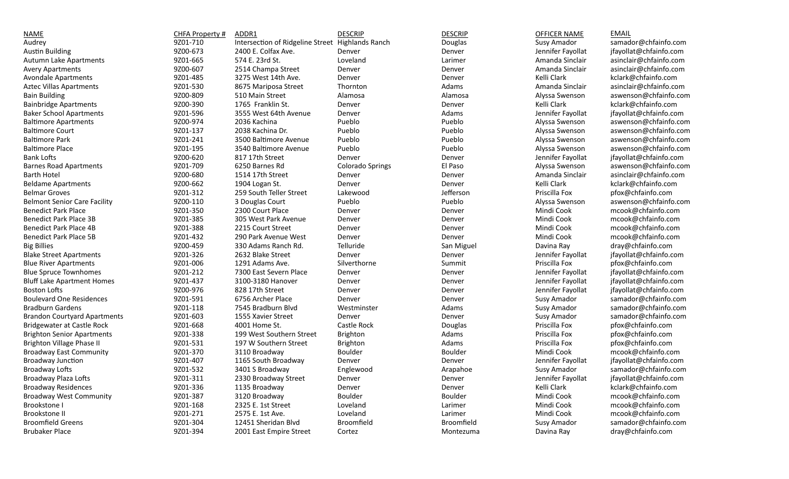| <b>NAME</b>                         | CHFA Property # | ADDR1                                            | <b>DESCRIP</b>   | <b>DESCRIP</b> | <b>OFFICER NAME</b> | <b>EMAIL</b>           |
|-------------------------------------|-----------------|--------------------------------------------------|------------------|----------------|---------------------|------------------------|
| Audrey                              | 9Z01-710        | Intersection of Ridgeline Street Highlands Ranch |                  | Douglas        | Susy Amador         | samador@chfainfo.com   |
| <b>Austin Building</b>              | 9Z00-673        | 2400 E. Colfax Ave.                              | Denver           | Denver         | Jennifer Fayollat   | jfayollat@chfainfo.com |
| Autumn Lake Apartments              | 9Z01-665        | 574 E. 23rd St.                                  | Loveland         | Larimer        | Amanda Sinclair     | asinclair@chfainfo.com |
| <b>Avery Apartments</b>             | 9Z00-607        | 2514 Champa Street                               | Denver           | Denver         | Amanda Sinclair     | asinclair@chfainfo.com |
| <b>Avondale Apartments</b>          | 9Z01-485        | 3275 West 14th Ave.                              | Denver           | Denver         | Kelli Clark         | kclark@chfainfo.com    |
| <b>Aztec Villas Apartments</b>      | 9Z01-530        | 8675 Mariposa Street                             | Thornton         | Adams          | Amanda Sinclair     | asinclair@chfainfo.com |
| <b>Bain Building</b>                | 9Z00-809        | 510 Main Street                                  | Alamosa          | Alamosa        | Alyssa Swenson      | aswenson@chfainfo.com  |
| <b>Bainbridge Apartments</b>        | 9Z00-390        | 1765 Franklin St.                                | Denver           | Denver         | Kelli Clark         | kclark@chfainfo.com    |
| <b>Baker School Apartments</b>      | 9Z01-596        | 3555 West 64th Avenue                            | Denver           | Adams          | Jennifer Fayollat   | jfayollat@chfainfo.com |
| <b>Baltimore Apartments</b>         | 9Z00-974        | 2036 Kachina                                     | Pueblo           | Pueblo         | Alyssa Swenson      | aswenson@chfainfo.com  |
| <b>Baltimore Court</b>              | 9Z01-137        | 2038 Kachina Dr.                                 | Pueblo           | Pueblo         | Alyssa Swenson      | aswenson@chfainfo.com  |
| <b>Baltimore Park</b>               | 9Z01-241        | 3500 Baltimore Avenue                            | Pueblo           | Pueblo         | Alyssa Swenson      | aswenson@chfainfo.com  |
| <b>Baltimore Place</b>              | 9Z01-195        | 3540 Baltimore Avenue                            | Pueblo           | Pueblo         | Alyssa Swenson      | aswenson@chfainfo.com  |
| <b>Bank Lofts</b>                   | 9Z00-620        | 817 17th Street                                  | Denver           | Denver         | Jennifer Fayollat   | jfayollat@chfainfo.com |
| <b>Barnes Road Apartments</b>       | 9Z01-709        | 6250 Barnes Rd                                   | Colorado Springs | El Paso        | Alyssa Swenson      | aswenson@chfainfo.com  |
| <b>Barth Hotel</b>                  | 9Z00-680        | 1514 17th Street                                 | Denver           | Denver         | Amanda Sinclair     | asinclair@chfainfo.com |
| <b>Beldame Apartments</b>           | 9Z00-662        | 1904 Logan St.                                   | Denver           | Denver         | Kelli Clark         | kclark@chfainfo.com    |
| <b>Belmar Groves</b>                | 9Z01-312        | 259 South Teller Street                          | Lakewood         | Jefferson      | Priscilla Fox       | pfox@chfainfo.com      |
| <b>Belmont Senior Care Facility</b> | 9Z00-110        | 3 Douglas Court                                  | Pueblo           | Pueblo         | Alyssa Swenson      | aswenson@chfainfo.com  |
| <b>Benedict Park Place</b>          | 9Z01-350        | 2300 Court Place                                 | Denver           | Denver         | Mindi Cook          | mcook@chfainfo.com     |
| <b>Benedict Park Place 3B</b>       | 9Z01-385        | 305 West Park Avenue                             | Denver           | Denver         | Mindi Cook          | mcook@chfainfo.com     |
| Benedict Park Place 4B              | 9Z01-388        | 2215 Court Street                                | Denver           | Denver         | Mindi Cook          | mcook@chfainfo.com     |
| <b>Benedict Park Place 5B</b>       | 9Z01-432        | 290 Park Avenue West                             | Denver           | Denver         | Mindi Cook          | mcook@chfainfo.com     |
| <b>Big Billies</b>                  | 9Z00-459        | 330 Adams Ranch Rd.                              | Telluride        | San Miguel     | Davina Ray          | dray@chfainfo.com      |
| <b>Blake Street Apartments</b>      | 9Z01-326        | 2632 Blake Street                                | Denver           | Denver         | Jennifer Fayollat   | jfayollat@chfainfo.com |
| <b>Blue River Apartments</b>        | 9Z01-006        | 1291 Adams Ave.                                  | Silverthorne     | Summit         | Priscilla Fox       | pfox@chfainfo.com      |
| <b>Blue Spruce Townhomes</b>        | 9Z01-212        | 7300 East Severn Place                           | Denver           | Denver         | Jennifer Fayollat   | jfayollat@chfainfo.com |
| <b>Bluff Lake Apartment Homes</b>   | 9Z01-437        | 3100-3180 Hanover                                | Denver           | Denver         | Jennifer Fayollat   | jfayollat@chfainfo.com |
| <b>Boston Lofts</b>                 | 9Z00-976        | 828 17th Street                                  | Denver           | Denver         | Jennifer Fayollat   | jfayollat@chfainfo.com |
| <b>Boulevard One Residences</b>     | 9Z01-591        | 6756 Archer Place                                | Denver           | Denver         | Susy Amador         | samador@chfainfo.com   |
| <b>Bradburn Gardens</b>             | 9Z01-118        | 7545 Bradburn Blvd                               | Westminster      | Adams          | Susy Amador         | samador@chfainfo.com   |
| <b>Brandon Courtyard Apartments</b> | 9Z01-603        | 1555 Xavier Street                               | Denver           | Denver         | Susy Amador         | samador@chfainfo.com   |
| <b>Bridgewater at Castle Rock</b>   | 9Z01-668        | 4001 Home St.                                    | Castle Rock      | Douglas        | Priscilla Fox       | pfox@chfainfo.com      |
| <b>Brighton Senior Apartments</b>   | 9Z01-338        | 199 West Southern Street                         | Brighton         | Adams          | Priscilla Fox       | pfox@chfainfo.com      |
| <b>Brighton Village Phase II</b>    | 9Z01-531        | 197 W Southern Street                            | Brighton         | Adams          | Priscilla Fox       | pfox@chfainfo.com      |
| <b>Broadway East Community</b>      | 9Z01-370        | 3110 Broadway                                    | Boulder          | <b>Boulder</b> | Mindi Cook          | mcook@chfainfo.com     |
| <b>Broadway Junction</b>            | 9Z01-407        | 1165 South Broadway                              | Denver           | Denver         | Jennifer Fayollat   | jfayollat@chfainfo.com |
| <b>Broadway Lofts</b>               | 9Z01-532        | 3401 S Broadway                                  | Englewood        | Arapahoe       | Susy Amador         | samador@chfainfo.com   |
| Broadway Plaza Lofts                | 9Z01-311        | 2330 Broadway Street                             | Denver           | Denver         | Jennifer Fayollat   | jfayollat@chfainfo.com |
| <b>Broadway Residences</b>          | 9Z01-336        | 1135 Broadway                                    | Denver           | Denver         | Kelli Clark         | kclark@chfainfo.com    |
| <b>Broadway West Community</b>      | 9Z01-387        | 3120 Broadway                                    | Boulder          | Boulder        | Mindi Cook          | mcook@chfainfo.com     |
| Brookstone I                        | 9Z01-168        | 2325 E. 1st Street                               | Loveland         | Larimer        | Mindi Cook          | mcook@chfainfo.com     |
| <b>Brookstone II</b>                | 9Z01-271        | 2575 E. 1st Ave.                                 | Loveland         | Larimer        | Mindi Cook          | mcook@chfainfo.com     |
| <b>Broomfield Greens</b>            | 9Z01-304        | 12451 Sheridan Blvd                              | Broomfield       | Broomfield     | Susy Amador         | samador@chfainfo.com   |
| <b>Brubaker Place</b>               | 9Z01-394        | 2001 East Empire Street                          | Cortez           | Montezuma      | Davina Ray          | dray@chfainfo.com      |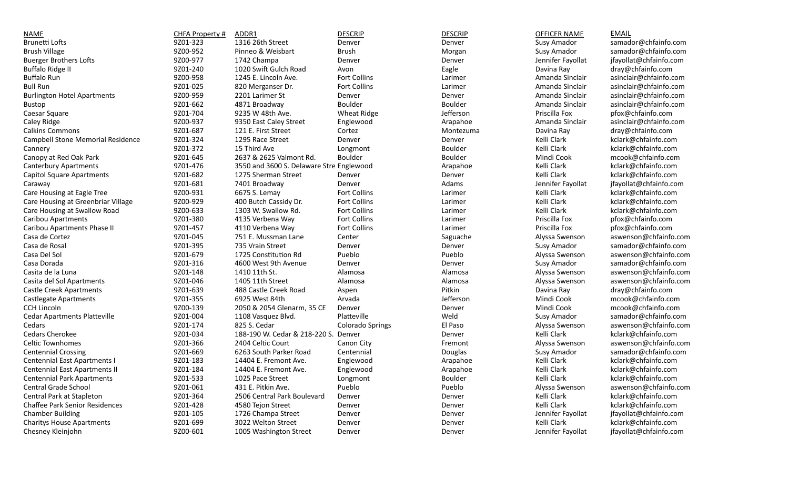| <b>NAME</b>                           | CHFA Property # | ADDR1                                    | <b>DESCRIP</b>          | <b>DESCRIP</b> | OFFICER NAME      | <b>EMAIL</b>           |
|---------------------------------------|-----------------|------------------------------------------|-------------------------|----------------|-------------------|------------------------|
| <b>Brunetti Lofts</b>                 | 9Z01-323        | 1316 26th Street                         | Denver                  | Denver         | Susy Amador       | samador@chfainfo.com   |
| <b>Brush Village</b>                  | 9Z00-952        | Pinneo & Weisbart                        | <b>Brush</b>            | Morgan         | Susy Amador       | samador@chfainfo.com   |
| <b>Buerger Brothers Lofts</b>         | 9Z00-977        | 1742 Champa                              | Denver                  | Denver         | Jennifer Fayollat | jfayollat@chfainfo.com |
| <b>Buffalo Ridge II</b>               | 9Z01-240        | 1020 Swift Gulch Road                    | Avon                    | Eagle          | Davina Ray        | dray@chfainfo.com      |
| <b>Buffalo Run</b>                    | 9Z00-958        | 1245 E. Lincoln Ave.                     | Fort Collins            | Larimer        | Amanda Sinclair   | asinclair@chfainfo.com |
| <b>Bull Run</b>                       | 9Z01-025        | 820 Merganser Dr.                        | Fort Collins            | Larimer        | Amanda Sinclair   | asinclair@chfainfo.com |
| <b>Burlington Hotel Apartments</b>    | 9Z00-959        | 2201 Larimer St                          | Denver                  | Denver         | Amanda Sinclair   | asinclair@chfainfo.com |
| Bustop                                | 9Z01-662        | 4871 Broadway                            | Boulder                 | Boulder        | Amanda Sinclair   | asinclair@chfainfo.com |
| Caesar Square                         | 9Z01-704        | 9235 W 48th Ave.                         | <b>Wheat Ridge</b>      | Jefferson      | Priscilla Fox     | pfox@chfainfo.com      |
| Caley Ridge                           | 9Z00-937        | 9350 East Caley Street                   | Englewood               | Arapahoe       | Amanda Sinclair   | asinclair@chfainfo.com |
| <b>Calkins Commons</b>                | 9Z01-687        | 121 E. First Street                      | Cortez                  | Montezuma      | Davina Ray        | dray@chfainfo.com      |
| Campbell Stone Memorial Residence     | 9Z01-324        | 1295 Race Street                         | Denver                  | Denver         | Kelli Clark       | kclark@chfainfo.com    |
| Cannery                               | 9Z01-372        | 15 Third Ave                             | Longmont                | Boulder        | Kelli Clark       | kclark@chfainfo.com    |
| Canopy at Red Oak Park                | 9Z01-645        | 2637 & 2625 Valmont Rd.                  | Boulder                 | Boulder        | Mindi Cook        | mcook@chfainfo.com     |
| <b>Canterbury Apartments</b>          | 9Z01-476        | 3550 and 3600 S. Delaware Stre Englewood |                         | Arapahoe       | Kelli Clark       | kclark@chfainfo.com    |
| <b>Capitol Square Apartments</b>      | 9Z01-682        | 1275 Sherman Street                      | Denver                  | Denver         | Kelli Clark       | kclark@chfainfo.com    |
| Caraway                               | 9Z01-681        | 7401 Broadway                            | Denver                  | Adams          | Jennifer Fayollat | jfayollat@chfainfo.com |
| Care Housing at Eagle Tree            | 9Z00-931        | 6675 S. Lemay                            | Fort Collins            | Larimer        | Kelli Clark       | kclark@chfainfo.com    |
| Care Housing at Greenbriar Village    | 9Z00-929        | 400 Butch Cassidy Dr.                    | Fort Collins            | Larimer        | Kelli Clark       | kclark@chfainfo.com    |
| Care Housing at Swallow Road          | 9Z00-633        | 1303 W. Swallow Rd.                      | <b>Fort Collins</b>     | Larimer        | Kelli Clark       | kclark@chfainfo.com    |
| Caribou Apartments                    | 9Z01-380        | 4135 Verbena Way                         | Fort Collins            | Larimer        | Priscilla Fox     | pfox@chfainfo.com      |
| Caribou Apartments Phase II           | 9Z01-457        | 4110 Verbena Way                         | Fort Collins            | Larimer        | Priscilla Fox     | pfox@chfainfo.com      |
| Casa de Cortez                        | 9Z01-045        | 751 E. Mussman Lane                      | Center                  | Saguache       | Alyssa Swenson    | aswenson@chfainfo.com  |
| Casa de Rosal                         | 9Z01-395        | 735 Vrain Street                         | Denver                  | Denver         | Susy Amador       | samador@chfainfo.com   |
| Casa Del Sol                          | 9Z01-679        | 1725 Constitution Rd                     | Pueblo                  | Pueblo         | Alyssa Swenson    | aswenson@chfainfo.com  |
| Casa Dorada                           | 9Z01-316        | 4600 West 9th Avenue                     | Denver                  | Denver         | Susy Amador       | samador@chfainfo.com   |
| Casita de la Luna                     | 9Z01-148        | 1410 11th St.                            | Alamosa                 | Alamosa        | Alyssa Swenson    | aswenson@chfainfo.com  |
| Casita del Sol Apartments             | 9Z01-046        | 1405 11th Street                         | Alamosa                 | Alamosa        | Alyssa Swenson    | aswenson@chfainfo.com  |
| <b>Castle Creek Apartments</b>        | 9Z01-639        | 488 Castle Creek Road                    | Aspen                   | Pitkin         | Davina Ray        | dray@chfainfo.com      |
| <b>Castlegate Apartments</b>          | 9Z01-355        | 6925 West 84th                           | Arvada                  | Jefferson      | Mindi Cook        | mcook@chfainfo.com     |
| <b>CCH Lincoln</b>                    | 9Z00-139        | 2050 & 2054 Glenarm, 35 CE               | Denver                  | Denver         | Mindi Cook        | mcook@chfainfo.com     |
| <b>Cedar Apartments Platteville</b>   | 9Z01-004        | 1108 Vasquez Blvd.                       | Platteville             | Weld           | Susy Amador       | samador@chfainfo.com   |
| Cedars                                | 9Z01-174        | 825 S. Cedar                             | <b>Colorado Springs</b> | El Paso        | Alyssa Swenson    | aswenson@chfainfo.com  |
| Cedars Cherokee                       | 9Z01-034        | 188-190 W. Cedar & 218-220 S. Denver     |                         | Denver         | Kelli Clark       | kclark@chfainfo.com    |
| <b>Celtic Townhomes</b>               | 9Z01-366        | 2404 Celtic Court                        | Canon City              | Fremont        | Alyssa Swenson    | aswenson@chfainfo.com  |
| <b>Centennial Crossing</b>            | 9Z01-669        | 6263 South Parker Road                   | Centennial              | Douglas        | Susy Amador       | samador@chfainfo.com   |
| <b>Centennial East Apartments I</b>   | 9Z01-183        | 14404 E. Fremont Ave.                    | Englewood               | Arapahoe       | Kelli Clark       | kclark@chfainfo.com    |
| <b>Centennial East Apartments II</b>  | 9Z01-184        | 14404 E. Fremont Ave.                    | Englewood               | Arapahoe       | Kelli Clark       | kclark@chfainfo.com    |
| <b>Centennial Park Apartments</b>     | 9Z01-533        | 1025 Pace Street                         | Longmont                | Boulder        | Kelli Clark       | kclark@chfainfo.com    |
| Central Grade School                  | 9Z01-061        | 431 E. Pitkin Ave.                       | Pueblo                  | Pueblo         | Alyssa Swenson    | aswenson@chfainfo.com  |
| Central Park at Stapleton             | 9Z01-364        | 2506 Central Park Boulevard              | Denver                  | Denver         | Kelli Clark       | kclark@chfainfo.com    |
| <b>Chaffee Park Senior Residences</b> | 9Z01-428        | 4580 Tejon Street                        | Denver                  | Denver         | Kelli Clark       | kclark@chfainfo.com    |
| <b>Chamber Building</b>               | 9Z01-105        | 1726 Champa Street                       | Denver                  | Denver         | Jennifer Fayollat | jfayollat@chfainfo.com |
| <b>Charitys House Apartments</b>      | 9Z01-699        | 3022 Welton Street                       | Denver                  | Denver         | Kelli Clark       | kclark@chfainfo.com    |
| Chesney Kleinjohn                     | 9Z00-601        | 1005 Washington Street                   | Denver                  | Denver         | Jennifer Fayollat | jfayollat@chfainfo.com |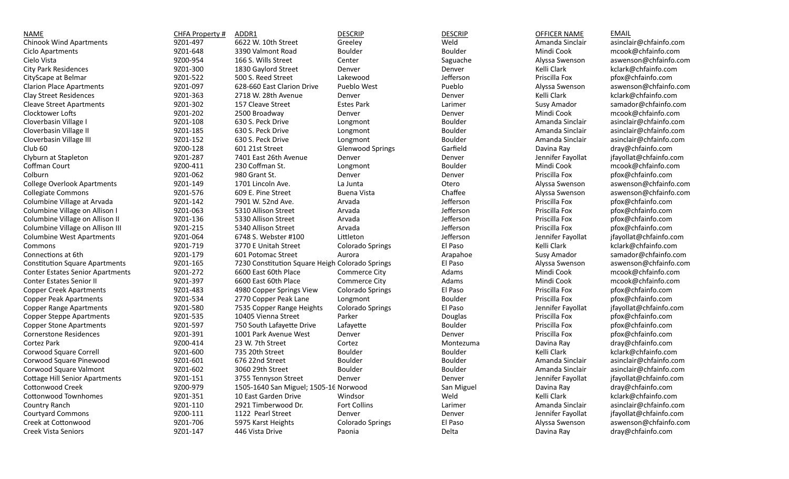| NAME                                    | CHFA Property # | ADDR1                                           | <b>DESCRIP</b>          | <b>DESCRIP</b> | <b>OFFICER NAME</b> | <b>EMAIL</b>           |
|-----------------------------------------|-----------------|-------------------------------------------------|-------------------------|----------------|---------------------|------------------------|
| <b>Chinook Wind Apartments</b>          | 9Z01-497        | 6622 W. 10th Street                             | Greeley                 | Weld           | Amanda Sinclair     | asinclair@chfainfo.com |
| Ciclo Apartments                        | 9Z01-648        | 3390 Valmont Road                               | Boulder                 | Boulder        | Mindi Cook          | mcook@chfainfo.com     |
| Cielo Vista                             | 9Z00-954        | 166 S. Wills Street                             | Center                  | Saguache       | Alyssa Swenson      | aswenson@chfainfo.com  |
| <b>City Park Residences</b>             | 9Z01-300        | 1830 Gaylord Street                             | Denver                  | Denver         | Kelli Clark         | kclark@chfainfo.com    |
| CityScape at Belmar                     | 9Z01-522        | 500 S. Reed Street                              | Lakewood                | Jefferson      | Priscilla Fox       | pfox@chfainfo.com      |
| <b>Clarion Place Apartments</b>         | 9Z01-097        | 628-660 East Clarion Drive                      | Pueblo West             | Pueblo         | Alyssa Swenson      | aswenson@chfainfo.com  |
| <b>Clay Street Residences</b>           | 9Z01-363        | 2718 W. 28th Avenue                             | Denver                  | Denver         | Kelli Clark         | kclark@chfainfo.com    |
| <b>Cleave Street Apartments</b>         | 9Z01-302        | 157 Cleave Street                               | <b>Estes Park</b>       | Larimer        | Susy Amador         | samador@chfainfo.com   |
| Clocktower Lofts                        | 9Z01-202        | 2500 Broadway                                   | Denver                  | Denver         | Mindi Cook          | mcook@chfainfo.com     |
| Cloverbasin Village I                   | 9Z01-108        | 630 S. Peck Drive                               | Longmont                | Boulder        | Amanda Sinclair     | asinclair@chfainfo.com |
| Cloverbasin Village II                  | 9Z01-185        | 630 S. Peck Drive                               | Longmont                | Boulder        | Amanda Sinclair     | asinclair@chfainfo.com |
| Cloverbasin Village III                 | 9Z01-152        | 630 S. Peck Drive                               | Longmont                | Boulder        | Amanda Sinclair     | asinclair@chfainfo.com |
| Club 60                                 | 9Z00-128        | 601 21st Street                                 | <b>Glenwood Springs</b> | Garfield       | Davina Ray          | dray@chfainfo.com      |
| Clyburn at Stapleton                    | 9Z01-287        | 7401 East 26th Avenue                           | Denver                  | Denver         | Jennifer Fayollat   | jfayollat@chfainfo.com |
| Coffman Court                           | 9Z00-411        | 230 Coffman St.                                 | Longmont                | Boulder        | Mindi Cook          | mcook@chfainfo.com     |
| Colburn                                 | 9Z01-062        | 980 Grant St.                                   | Denver                  | Denver         | Priscilla Fox       | pfox@chfainfo.com      |
| <b>College Overlook Apartments</b>      | 9Z01-149        | 1701 Lincoln Ave.                               | La Junta                | Otero          | Alyssa Swenson      | aswenson@chfainfo.com  |
| <b>Collegiate Commons</b>               | 9Z01-576        | 609 E. Pine Street                              | <b>Buena Vista</b>      | Chaffee        | Alyssa Swenson      | aswenson@chfainfo.com  |
| Columbine Village at Arvada             | 9Z01-142        | 7901 W. 52nd Ave.                               | Arvada                  | Jefferson      | Priscilla Fox       | pfox@chfainfo.com      |
| Columbine Village on Allison I          | 9Z01-063        | 5310 Allison Street                             | Arvada                  | Jefferson      | Priscilla Fox       | pfox@chfainfo.com      |
| Columbine Village on Allison II         | 9Z01-136        | 5330 Allison Street                             | Arvada                  | Jefferson      | Priscilla Fox       | pfox@chfainfo.com      |
| Columbine Village on Allison III        | 9Z01-215        | 5340 Allison Street                             | Arvada                  | Jefferson      | Priscilla Fox       | pfox@chfainfo.com      |
| <b>Columbine West Apartments</b>        | 9Z01-064        | 6748 S. Webster #100                            | Littleton               | Jefferson      | Jennifer Fayollat   | jfayollat@chfainfo.com |
| Commons                                 | 9Z01-719        | 3770 E Unitah Street                            | Colorado Springs        | El Paso        | Kelli Clark         | kclark@chfainfo.com    |
| Connections at 6th                      | 9Z01-179        | 601 Potomac Street                              | Aurora                  | Arapahoe       | Susy Amador         | samador@chfainfo.com   |
| <b>Constitution Square Apartments</b>   | 9Z01-165        | 7230 Constitution Square Heigh Colorado Springs |                         | El Paso        | Alyssa Swenson      | aswenson@chfainfo.com  |
| <b>Conter Estates Senior Apartments</b> | 9Z01-272        | 6600 East 60th Place                            | Commerce City           | Adams          | Mindi Cook          | mcook@chfainfo.com     |
| <b>Conter Estates Senior II</b>         | 9Z01-397        | 6600 East 60th Place                            | Commerce City           | Adams          | Mindi Cook          | mcook@chfainfo.com     |
| <b>Copper Creek Apartments</b>          | 9Z01-483        | 4980 Copper Springs View                        | <b>Colorado Springs</b> | El Paso        | Priscilla Fox       | pfox@chfainfo.com      |
| <b>Copper Peak Apartments</b>           | 9Z01-534        | 2770 Copper Peak Lane                           | Longmont                | <b>Boulder</b> | Priscilla Fox       | pfox@chfainfo.com      |
| <b>Copper Range Apartments</b>          | 9Z01-580        | 7535 Copper Range Heights                       | <b>Colorado Springs</b> | El Paso        | Jennifer Fayollat   | jfayollat@chfainfo.com |
| <b>Copper Steppe Apartments</b>         | 9Z01-535        | 10405 Vienna Street                             | Parker                  | Douglas        | Priscilla Fox       | pfox@chfainfo.com      |
| <b>Copper Stone Apartments</b>          | 9Z01-597        | 750 South Lafayette Drive                       | Lafayette               | Boulder        | Priscilla Fox       | pfox@chfainfo.com      |
| <b>Cornerstone Residences</b>           | 9Z01-391        | 1001 Park Avenue West                           | Denver                  | Denver         | Priscilla Fox       | pfox@chfainfo.com      |
| Cortez Park                             | 9Z00-414        | 23 W. 7th Street                                | Cortez                  | Montezuma      | Davina Ray          | dray@chfainfo.com      |
| Corwood Square Correll                  | 9Z01-600        | 735 20th Street                                 | Boulder                 | Boulder        | Kelli Clark         | kclark@chfainfo.com    |
| Corwood Square Pinewood                 | 9Z01-601        | 676 22nd Street                                 | Boulder                 | Boulder        | Amanda Sinclair     | asinclair@chfainfo.com |
| Corwood Square Valmont                  | 9Z01-602        | 3060 29th Street                                | Boulder                 | Boulder        | Amanda Sinclair     | asinclair@chfainfo.com |
| <b>Cottage Hill Senior Apartments</b>   | 9Z01-151        | 3755 Tennyson Street                            | Denver                  | Denver         | Jennifer Fayollat   | jfayollat@chfainfo.com |
| Cottonwood Creek                        | 9Z00-979        | 1505-1640 San Miguel; 1505-16 Norwood           |                         | San Miguel     | Davina Ray          | dray@chfainfo.com      |
| <b>Cottonwood Townhomes</b>             | 9Z01-351        | 10 East Garden Drive                            | Windsor                 | Weld           | Kelli Clark         | kclark@chfainfo.com    |
| Country Ranch                           | 9Z01-110        | 2921 Timberwood Dr.                             | Fort Collins            | Larimer        | Amanda Sinclair     | asinclair@chfainfo.com |
| <b>Courtyard Commons</b>                | 9Z00-111        | 1122 Pearl Street                               | Denver                  | Denver         | Jennifer Fayollat   | jfayollat@chfainfo.com |
| Creek at Cottonwood                     | 9Z01-706        | 5975 Karst Heights                              | <b>Colorado Springs</b> | El Paso        | Alyssa Swenson      | aswenson@chfainfo.com  |
| <b>Creek Vista Seniors</b>              | 9Z01-147        | 446 Vista Drive                                 | Paonia                  | Delta          | Davina Ray          | dray@chfainfo.com      |
|                                         |                 |                                                 |                         |                |                     |                        |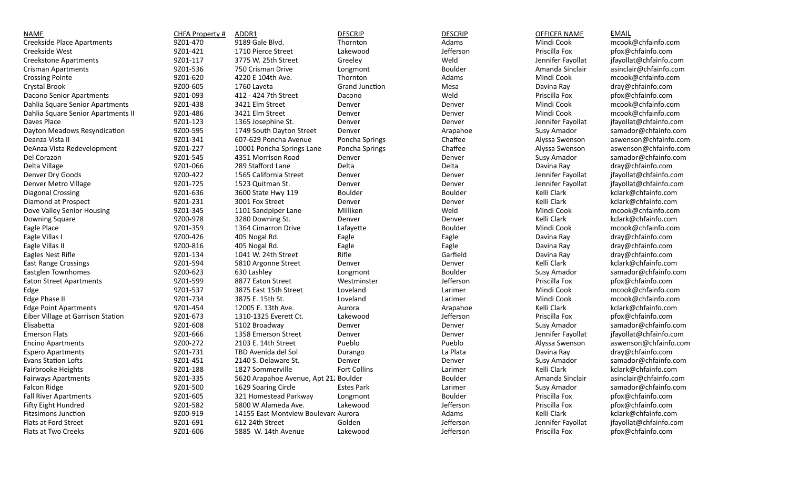| <b>NAME</b>                        | CHFA Property # | ADDR1                                 | <b>DESCRIP</b>        | <b>DESCRIP</b> | <b>OFFICER NAME</b> | <b>EMAIL</b>           |
|------------------------------------|-----------------|---------------------------------------|-----------------------|----------------|---------------------|------------------------|
| <b>Creekside Place Apartments</b>  | 9Z01-470        | 9189 Gale Blvd.                       | Thornton              | Adams          | Mindi Cook          | mcook@chfainfo.com     |
| Creekside West                     | 9Z01-421        | 1710 Pierce Street                    | Lakewood              | Jefferson      | Priscilla Fox       | pfox@chfainfo.com      |
| <b>Creekstone Apartments</b>       | 9Z01-117        | 3775 W. 25th Street                   | Greeley               | Weld           | Jennifer Fayollat   | jfayollat@chfainfo.com |
| Crisman Apartments                 | 9Z01-536        | 750 Crisman Drive                     | Longmont              | Boulder        | Amanda Sinclair     | asinclair@chfainfo.com |
| <b>Crossing Pointe</b>             | 9Z01-620        | 4220 E 104th Ave.                     | Thornton              | Adams          | Mindi Cook          | mcook@chfainfo.com     |
| Crystal Brook                      | 9Z00-605        | 1760 Laveta                           | <b>Grand Junction</b> | Mesa           | Davina Ray          | dray@chfainfo.com      |
| Dacono Senior Apartments           | 9Z01-093        | 412 - 424 7th Street                  | Dacono                | Weld           | Priscilla Fox       | pfox@chfainfo.com      |
| Dahlia Square Senior Apartments    | 9Z01-438        | 3421 Elm Street                       | Denver                | Denver         | Mindi Cook          | mcook@chfainfo.com     |
| Dahlia Square Senior Apartments II | 9Z01-486        | 3421 Elm Street                       | Denver                | Denver         | Mindi Cook          | mcook@chfainfo.com     |
| Daves Place                        | 9Z01-123        | 1365 Josephine St.                    | Denver                | Denver         | Jennifer Fayollat   | jfayollat@chfainfo.com |
| Dayton Meadows Resyndication       | 9Z00-595        | 1749 South Dayton Street              | Denver                | Arapahoe       | Susy Amador         | samador@chfainfo.com   |
| Deanza Vista II                    | 9Z01-341        | 607-629 Poncha Avenue                 | Poncha Springs        | Chaffee        | Alyssa Swenson      | aswenson@chfainfo.com  |
| DeAnza Vista Redevelopment         | 9Z01-227        | 10001 Poncha Springs Lane             | Poncha Springs        | Chaffee        | Alyssa Swenson      | aswenson@chfainfo.com  |
| Del Corazon                        | 9Z01-545        | 4351 Morrison Road                    | Denver                | Denver         | Susy Amador         | samador@chfainfo.com   |
| Delta Village                      | 9Z01-066        | 289 Stafford Lane                     | Delta                 | Delta          | Davina Ray          | dray@chfainfo.com      |
| Denver Dry Goods                   | 9Z00-422        | 1565 California Street                | Denver                | Denver         | Jennifer Fayollat   | jfayollat@chfainfo.com |
| Denver Metro Village               | 9Z01-725        | 1523 Quitman St.                      | Denver                | Denver         | Jennifer Fayollat   | jfayollat@chfainfo.com |
| <b>Diagonal Crossing</b>           | 9Z01-636        | 3600 State Hwy 119                    | Boulder               | Boulder        | Kelli Clark         | kclark@chfainfo.com    |
| Diamond at Prospect                | 9Z01-231        | 3001 Fox Street                       | Denver                | Denver         | Kelli Clark         | kclark@chfainfo.com    |
| Dove Valley Senior Housing         | 9Z01-345        | 1101 Sandpiper Lane                   | Milliken              | Weld           | Mindi Cook          | mcook@chfainfo.com     |
| Downing Square                     | 9Z00-978        | 3280 Downing St.                      | Denver                | Denver         | Kelli Clark         | kclark@chfainfo.com    |
| Eagle Place                        | 9Z01-359        | 1364 Cimarron Drive                   | Lafayette             | <b>Boulder</b> | Mindi Cook          | mcook@chfainfo.com     |
| Eagle Villas I                     | 9Z00-426        | 405 Nogal Rd.                         | Eagle                 | Eagle          | Davina Ray          | dray@chfainfo.com      |
| Eagle Villas II                    | 9Z00-816        | 405 Nogal Rd.                         | Eagle                 | Eagle          | Davina Ray          | dray@chfainfo.com      |
| Eagles Nest Rifle                  | 9Z01-134        | 1041 W. 24th Street                   | Rifle                 | Garfield       | Davina Ray          | dray@chfainfo.com      |
| East Range Crossings               | 9Z01-594        | 5810 Argonne Street                   | Denver                | Denver         | Kelli Clark         | kclark@chfainfo.com    |
| Eastglen Townhomes                 | 9Z00-623        | 630 Lashley                           | Longmont              | Boulder        | Susy Amador         | samador@chfainfo.com   |
| <b>Eaton Street Apartments</b>     | 9Z01-599        | 8877 Eaton Street                     | Westminster           | Jefferson      | Priscilla Fox       | pfox@chfainfo.com      |
| Edge                               | 9Z01-537        | 3875 East 15th Street                 | Loveland              | Larimer        | Mindi Cook          | mcook@chfainfo.com     |
| Edge Phase II                      | 9Z01-734        | 3875 E. 15th St.                      | Loveland              | Larimer        | Mindi Cook          | mcook@chfainfo.com     |
| <b>Edge Point Apartments</b>       | 9Z01-454        | 12005 E. 13th Ave.                    | Aurora                | Arapahoe       | Kelli Clark         | kclark@chfainfo.com    |
| Eiber Village at Garrison Station  | 9Z01-673        | 1310-1325 Everett Ct.                 | Lakewood              | Jefferson      | Priscilla Fox       | pfox@chfainfo.com      |
| Elisabetta                         | 9Z01-608        | 5102 Broadway                         | Denver                | Denver         | Susy Amador         | samador@chfainfo.com   |
| <b>Emerson Flats</b>               | 9Z01-666        | 1358 Emerson Street                   | Denver                | Denver         | Jennifer Fayollat   | jfayollat@chfainfo.com |
| <b>Encino Apartments</b>           | 9Z00-272        | 2103 E. 14th Street                   | Pueblo                | Pueblo         | Alyssa Swenson      | aswenson@chfainfo.com  |
| <b>Espero Apartments</b>           | 9Z01-731        | TBD Avenida del Sol                   | Durango               | La Plata       | Davina Ray          | dray@chfainfo.com      |
| <b>Evans Station Lofts</b>         | 9Z01-451        | 2140 S. Delaware St.                  | Denver                | Denver         | Susy Amador         | samador@chfainfo.com   |
| Fairbrooke Heights                 | 9Z01-188        | 1827 Sommerville                      | Fort Collins          | Larimer        | Kelli Clark         | kclark@chfainfo.com    |
| <b>Fairways Apartments</b>         | 9Z01-335        | 5620 Arapahoe Avenue, Apt 21. Boulder |                       | <b>Boulder</b> | Amanda Sinclair     | asinclair@chfainfo.com |
| <b>Falcon Ridge</b>                | 9Z01-500        | 1629 Soaring Circle                   | <b>Estes Park</b>     | Larimer        | Susy Amador         | samador@chfainfo.com   |
| <b>Fall River Apartments</b>       | 9Z01-605        | 321 Homestead Parkway                 | Longmont              | Boulder        | Priscilla Fox       | pfox@chfainfo.com      |
| Fifty Eight Hundred                | 9Z01-582        | 5800 W Alameda Ave.                   | Lakewood              | Jefferson      | Priscilla Fox       | pfox@chfainfo.com      |
| <b>Fitzsimons Junction</b>         | 9Z00-919        | 14155 East Montview Boulevard Aurora  |                       | Adams          | Kelli Clark         | kclark@chfainfo.com    |
| <b>Flats at Ford Street</b>        | 9Z01-691        | 612 24th Street                       | Golden                | Jefferson      | Jennifer Fayollat   | jfayollat@chfainfo.com |
| Flats at Two Creeks                | 9Z01-606        | 5885 W. 14th Avenue                   | Lakewood              | Jefferson      | Priscilla Fox       | pfox@chfainfo.com      |
|                                    |                 |                                       |                       |                |                     |                        |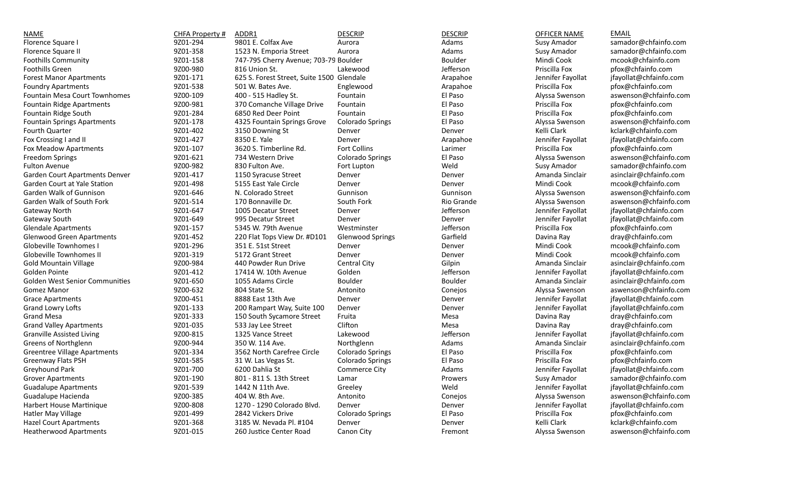| <b>NAME</b>                           | CHFA Property # | ADDR1                                     | <b>DESCRIP</b>          | <b>DESCRIP</b> | OFFICER NAME      | <b>EMAIL</b>           |
|---------------------------------------|-----------------|-------------------------------------------|-------------------------|----------------|-------------------|------------------------|
| Florence Square                       | 9Z01-294        | 9801 E. Colfax Ave                        | Aurora                  | Adams          | Susy Amador       | samador@chfainfo.com   |
| Florence Square II                    | 9Z01-358        | 1523 N. Emporia Street                    | Aurora                  | Adams          | Susy Amador       | samador@chfainfo.com   |
| <b>Foothills Community</b>            | 9Z01-158        | 747-795 Cherry Avenue; 703-79 Boulder     |                         | Boulder        | Mindi Cook        | mcook@chfainfo.com     |
| Foothills Green                       | 9Z00-980        | 816 Union St.                             | Lakewood                | Jefferson      | Priscilla Fox     | pfox@chfainfo.com      |
| <b>Forest Manor Apartments</b>        | 9Z01-171        | 625 S. Forest Street, Suite 1500 Glendale |                         | Arapahoe       | Jennifer Fayollat | jfayollat@chfainfo.com |
| <b>Foundry Apartments</b>             | 9Z01-538        | 501 W. Bates Ave.                         | Englewood               | Arapahoe       | Priscilla Fox     | pfox@chfainfo.com      |
| Fountain Mesa Court Townhomes         | 9Z00-109        | 400 - 515 Hadley St.                      | Fountain                | El Paso        | Alyssa Swenson    | aswenson@chfainfo.com  |
| Fountain Ridge Apartments             | 9Z00-981        | 370 Comanche Village Drive                | Fountain                | El Paso        | Priscilla Fox     | pfox@chfainfo.com      |
| Fountain Ridge South                  | 9Z01-284        | 6850 Red Deer Point                       | Fountain                | El Paso        | Priscilla Fox     | pfox@chfainfo.com      |
| <b>Fountain Springs Apartments</b>    | 9Z01-178        | 4325 Fountain Springs Grove               | Colorado Springs        | El Paso        | Alyssa Swenson    | aswenson@chfainfo.com  |
| Fourth Quarter                        | 9Z01-402        | 3150 Downing St                           | Denver                  | Denver         | Kelli Clark       | kclark@chfainfo.com    |
| Fox Crossing I and II                 | 9Z01-427        | 8350 E. Yale                              | Denver                  | Arapahoe       | Jennifer Fayollat | jfayollat@chfainfo.com |
| Fox Meadow Apartments                 | 9Z01-107        | 3620 S. Timberline Rd.                    | Fort Collins            | Larimer        | Priscilla Fox     | pfox@chfainfo.com      |
| <b>Freedom Springs</b>                | 9Z01-621        | 734 Western Drive                         | Colorado Springs        | El Paso        | Alyssa Swenson    | aswenson@chfainfo.com  |
| <b>Fulton Avenue</b>                  | 9Z00-982        | 830 Fulton Ave.                           | Fort Lupton             | Weld           | Susy Amador       | samador@chfainfo.com   |
| Garden Court Apartments Denver        | 9Z01-417        | 1150 Syracuse Street                      | Denver                  | Denver         | Amanda Sinclair   | asinclair@chfainfo.com |
| Garden Court at Yale Station          | 9Z01-498        | 5155 East Yale Circle                     | Denver                  | Denver         | Mindi Cook        | mcook@chfainfo.com     |
| Garden Walk of Gunnison               | 9Z01-646        | N. Colorado Street                        | Gunnison                | Gunnison       | Alyssa Swenson    | aswenson@chfainfo.com  |
| Garden Walk of South Fork             | 9Z01-514        | 170 Bonnaville Dr.                        | South Fork              | Rio Grande     | Alyssa Swenson    | aswenson@chfainfo.com  |
| Gateway North                         | 9Z01-647        | 1005 Decatur Street                       | Denver                  | Jefferson      | Jennifer Fayollat | jfayollat@chfainfo.com |
| Gateway South                         | 9Z01-649        | 995 Decatur Street                        | Denver                  | Denver         | Jennifer Fayollat | jfayollat@chfainfo.com |
| <b>Glendale Apartments</b>            | 9Z01-157        | 5345 W. 79th Avenue                       | Westminster             | Jefferson      | Priscilla Fox     | pfox@chfainfo.com      |
| <b>Glenwood Green Apartments</b>      | 9Z01-452        | 220 Flat Tops View Dr. #D101              | <b>Glenwood Springs</b> | Garfield       | Davina Ray        | dray@chfainfo.com      |
| Globeville Townhomes I                | 9Z01-296        | 351 E. 51st Street                        | Denver                  | Denver         | Mindi Cook        | mcook@chfainfo.com     |
| Globeville Townhomes II               | 9Z01-319        | 5172 Grant Street                         | Denver                  | Denver         | Mindi Cook        | mcook@chfainfo.com     |
| <b>Gold Mountain Village</b>          | 9Z00-984        | 440 Powder Run Drive                      | Central City            | Gilpin         | Amanda Sinclair   | asinclair@chfainfo.com |
| Golden Pointe                         | 9Z01-412        | 17414 W. 10th Avenue                      | Golden                  | Jefferson      | Jennifer Fayollat | jfayollat@chfainfo.com |
| <b>Golden West Senior Communities</b> | 9Z01-650        | 1055 Adams Circle                         | Boulder                 | <b>Boulder</b> | Amanda Sinclair   | asinclair@chfainfo.com |
| <b>Gomez Manor</b>                    | 9Z00-632        | 804 State St.                             | Antonito                | Conejos        | Alyssa Swenson    | aswenson@chfainfo.com  |
| <b>Grace Apartments</b>               | 9Z00-451        | 8888 East 13th Ave                        | Denver                  | Denver         | Jennifer Fayollat | jfayollat@chfainfo.com |
| Grand Lowry Lofts                     | 9Z01-133        | 200 Rampart Way, Suite 100                | Denver                  | Denver         | Jennifer Fayollat | jfayollat@chfainfo.com |
| <b>Grand Mesa</b>                     | 9Z01-333        | 150 South Sycamore Street                 | Fruita                  | Mesa           | Davina Ray        | dray@chfainfo.com      |
| <b>Grand Valley Apartments</b>        | 9Z01-035        | 533 Jay Lee Street                        | Clifton                 | Mesa           | Davina Ray        | dray@chfainfo.com      |
| <b>Granville Assisted Living</b>      | 9Z00-815        | 1325 Vance Street                         | Lakewood                | Jefferson      | Jennifer Fayollat | jfayollat@chfainfo.com |
| Greens of Northglenn                  | 9Z00-944        | 350 W. 114 Ave.                           | Northglenn              | Adams          | Amanda Sinclair   | asinclair@chfainfo.com |
| <b>Greentree Village Apartments</b>   | 9Z01-334        | 3562 North Carefree Circle                | Colorado Springs        | El Paso        | Priscilla Fox     | pfox@chfainfo.com      |
| Greenway Flats PSH                    | 9Z01-585        | 31 W. Las Vegas St.                       | Colorado Springs        | El Paso        | Priscilla Fox     | pfox@chfainfo.com      |
| Greyhound Park                        | 9Z01-700        | 6200 Dahlia St                            | Commerce City           | Adams          | Jennifer Fayollat | jfayollat@chfainfo.com |
| <b>Grover Apartments</b>              | 9Z01-190        | 801 - 811 S. 13th Street                  | Lamar                   | Prowers        | Susy Amador       | samador@chfainfo.com   |
| <b>Guadalupe Apartments</b>           | 9Z01-539        | 1442 N 11th Ave.                          | Greeley                 | Weld           | Jennifer Fayollat | jfayollat@chfainfo.com |
| Guadalupe Hacienda                    | 9Z00-385        | 404 W. 8th Ave.                           | Antonito                | Conejos        | Alyssa Swenson    | aswenson@chfainfo.com  |
| Harbert House Martinique              | 9Z00-808        | 1270 - 1290 Colorado Blvd.                | Denver                  | Denver         | Jennifer Fayollat | jfayollat@chfainfo.com |
| Hatler May Village                    | 9Z01-499        | 2842 Vickers Drive                        | Colorado Springs        | El Paso        | Priscilla Fox     | pfox@chfainfo.com      |
| <b>Hazel Court Apartments</b>         | 9Z01-368        | 3185 W. Nevada Pl. #104                   | Denver                  | Denver         | Kelli Clark       | kclark@chfainfo.com    |
| <b>Heatherwood Apartments</b>         | 9Z01-015        | 260 Justice Center Road                   | Canon City              | Fremont        | Alyssa Swenson    | aswenson@chfainfo.com  |
|                                       |                 |                                           |                         |                |                   |                        |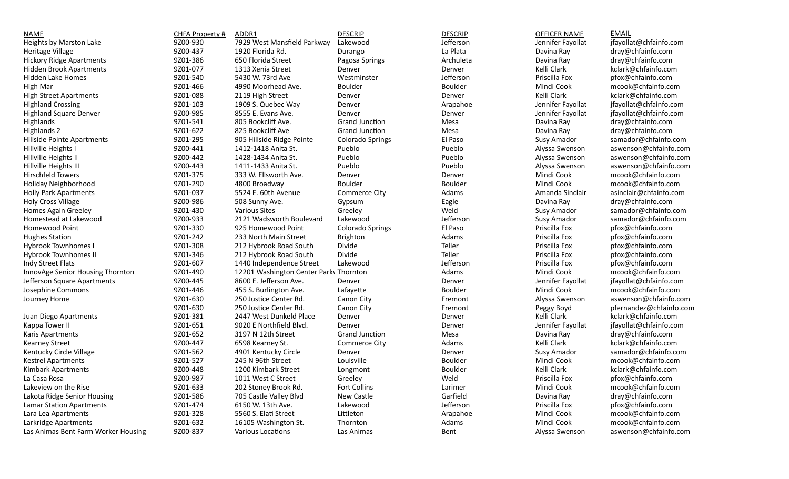| <b>NAME</b>                         | CHFA Property # | ADDR1                                  | <b>DESCRIP</b>          | <b>DESCRIP</b> | <b>OFFICER NAME</b> | <b>EMAIL</b>            |
|-------------------------------------|-----------------|----------------------------------------|-------------------------|----------------|---------------------|-------------------------|
| Heights by Marston Lake             | 9Z00-930        | 7929 West Mansfield Parkway            | Lakewood                | Jefferson      | Jennifer Fayollat   | jfayollat@chfainfo.com  |
| Heritage Village                    | 9Z00-437        | 1920 Florida Rd.                       | Durango                 | La Plata       | Davina Ray          | dray@chfainfo.com       |
| <b>Hickory Ridge Apartments</b>     | 9Z01-386        | 650 Florida Street                     | Pagosa Springs          | Archuleta      | Davina Ray          | dray@chfainfo.com       |
| <b>Hidden Brook Apartments</b>      | 9Z01-077        | 1313 Xenia Street                      | Denver                  | Denver         | Kelli Clark         | kclark@chfainfo.com     |
| <b>Hidden Lake Homes</b>            | 9Z01-540        | 5430 W. 73rd Ave                       | Westminster             | Jefferson      | Priscilla Fox       | pfox@chfainfo.com       |
| High Mar                            | 9Z01-466        | 4990 Moorhead Ave.                     | Boulder                 | Boulder        | Mindi Cook          | mcook@chfainfo.com      |
| <b>High Street Apartments</b>       | 9Z01-088        | 2119 High Street                       | Denver                  | Denver         | Kelli Clark         | kclark@chfainfo.com     |
| <b>Highland Crossing</b>            | 9Z01-103        | 1909 S. Quebec Way                     | Denver                  | Arapahoe       | Jennifer Fayollat   | jfayollat@chfainfo.com  |
| <b>Highland Square Denver</b>       | 9Z00-985        | 8555 E. Evans Ave.                     | Denver                  | Denver         | Jennifer Fayollat   | jfayollat@chfainfo.com  |
| <b>Highlands</b>                    | 9Z01-541        | 805 Bookcliff Ave.                     | Grand Junction          | Mesa           | Davina Ray          | dray@chfainfo.com       |
| Highlands 2                         | 9Z01-622        | 825 Bookcliff Ave                      | Grand Junction          | Mesa           | Davina Ray          | dray@chfainfo.com       |
| Hillside Pointe Apartments          | 9Z01-295        | 905 Hillside Ridge Pointe              | <b>Colorado Springs</b> | El Paso        | Susy Amador         | samador@chfainfo.com    |
|                                     | 9Z00-441        | 1412-1418 Anita St.                    | Pueblo                  | Pueblo         | Alyssa Swenson      | aswenson@chfainfo.com   |
| Hillville Heights I                 | 9Z00-442        | 1428-1434 Anita St.                    | Pueblo                  | Pueblo         |                     | aswenson@chfainfo.com   |
| Hillville Heights II                |                 |                                        |                         |                | Alyssa Swenson      |                         |
| Hillville Heights III               | 9Z00-443        | 1411-1433 Anita St.                    | Pueblo                  | Pueblo         | Alyssa Swenson      | aswenson@chfainfo.com   |
| Hirschfeld Towers                   | 9Z01-375        | 333 W. Ellsworth Ave.                  | Denver                  | Denver         | Mindi Cook          | mcook@chfainfo.com      |
| Holiday Neighborhood                | 9Z01-290        | 4800 Broadway                          | Boulder                 | <b>Boulder</b> | Mindi Cook          | mcook@chfainfo.com      |
| <b>Holly Park Apartments</b>        | 9Z01-037        | 5524 E. 60th Avenue                    | Commerce City           | Adams          | Amanda Sinclair     | asinclair@chfainfo.com  |
| <b>Holy Cross Village</b>           | 9Z00-986        | 508 Sunny Ave.                         | Gypsum                  | Eagle          | Davina Ray          | dray@chfainfo.com       |
| Homes Again Greeley                 | 9Z01-430        | <b>Various Sites</b>                   | Greeley                 | Weld           | Susy Amador         | samador@chfainfo.com    |
| Homestead at Lakewood               | 9Z00-933        | 2121 Wadsworth Boulevard               | Lakewood                | Jefferson      | Susy Amador         | samador@chfainfo.com    |
| Homewood Point                      | 9Z01-330        | 925 Homewood Point                     | Colorado Springs        | El Paso        | Priscilla Fox       | pfox@chfainfo.com       |
| <b>Hughes Station</b>               | 9Z01-242        | 233 North Main Street                  | <b>Brighton</b>         | Adams          | Priscilla Fox       | pfox@chfainfo.com       |
| <b>Hybrook Townhomes I</b>          | 9Z01-308        | 212 Hybrook Road South                 | Divide                  | Teller         | Priscilla Fox       | pfox@chfainfo.com       |
| <b>Hybrook Townhomes II</b>         | 9Z01-346        | 212 Hybrook Road South                 | Divide                  | Teller         | Priscilla Fox       | pfox@chfainfo.com       |
| Indy Street Flats                   | 9Z01-607        | 1440 Independence Street               | Lakewood                | Jefferson      | Priscilla Fox       | pfox@chfainfo.com       |
| InnovAge Senior Housing Thornton    | 9Z01-490        | 12201 Washington Center Park\ Thornton |                         | Adams          | Mindi Cook          | mcook@chfainfo.com      |
| Jefferson Square Apartments         | 9Z00-445        | 8600 E. Jefferson Ave.                 | Denver                  | Denver         | Jennifer Fayollat   | jfayollat@chfainfo.com  |
| Josephine Commons                   | 9Z01-446        | 455 S. Burlington Ave.                 | Lafayette               | <b>Boulder</b> | Mindi Cook          | mcook@chfainfo.com      |
| Journey Home                        | 9Z01-630        | 250 Justice Center Rd.                 | Canon City              | Fremont        | Alyssa Swenson      | aswenson@chfainfo.com   |
|                                     | 9Z01-630        | 250 Justice Center Rd.                 | Canon City              | Fremont        | Peggy Boyd          | pfernandez@chfainfo.com |
| Juan Diego Apartments               | 9Z01-381        | 2447 West Dunkeld Place                | Denver                  | Denver         | Kelli Clark         | kclark@chfainfo.com     |
| Kappa Tower II                      | 9Z01-651        | 9020 E Northfield Blvd.                | Denver                  | Denver         | Jennifer Fayollat   | jfayollat@chfainfo.com  |
| Karis Apartments                    | 9Z01-652        | 3197 N 12th Street                     | Grand Junction          | Mesa           | Davina Ray          | dray@chfainfo.com       |
| <b>Kearney Street</b>               | 9Z00-447        | 6598 Kearney St.                       | Commerce City           | Adams          | Kelli Clark         | kclark@chfainfo.com     |
| Kentucky Circle Village             | 9Z01-562        | 4901 Kentucky Circle                   | Denver                  | Denver         | Susy Amador         | samador@chfainfo.com    |
| <b>Kestrel Apartments</b>           | 9Z01-527        | 245 N 96th Street                      | Louisville              | Boulder        | Mindi Cook          | mcook@chfainfo.com      |
| Kimbark Apartments                  | 9Z00-448        | 1200 Kimbark Street                    | Longmont                | Boulder        | Kelli Clark         | kclark@chfainfo.com     |
| La Casa Rosa                        | 9Z00-987        | 1011 West C Street                     | Greeley                 | Weld           | Priscilla Fox       | pfox@chfainfo.com       |
| Lakeview on the Rise                | 9Z01-633        | 202 Stoney Brook Rd.                   | Fort Collins            | Larimer        | Mindi Cook          | mcook@chfainfo.com      |
| Lakota Ridge Senior Housing         | 9Z01-586        | 705 Castle Valley Blvd                 | New Castle              | Garfield       | Davina Ray          | dray@chfainfo.com       |
| <b>Lamar Station Apartments</b>     | 9Z01-474        | 6150 W. 13th Ave.                      | Lakewood                | Jefferson      | Priscilla Fox       | pfox@chfainfo.com       |
|                                     | 9Z01-328        | 5560 S. Elati Street                   | Littleton               |                | Mindi Cook          | mcook@chfainfo.com      |
| Lara Lea Apartments                 |                 |                                        |                         | Arapahoe       |                     |                         |
| Larkridge Apartments                | 9Z01-632        | 16105 Washington St.                   | Thornton                | Adams          | Mindi Cook          | mcook@chfainfo.com      |
| Las Animas Bent Farm Worker Housing | 9Z00-837        | Various Locations                      | Las Animas              | Bent           | Alyssa Swenson      | aswenson@chfainfo.com   |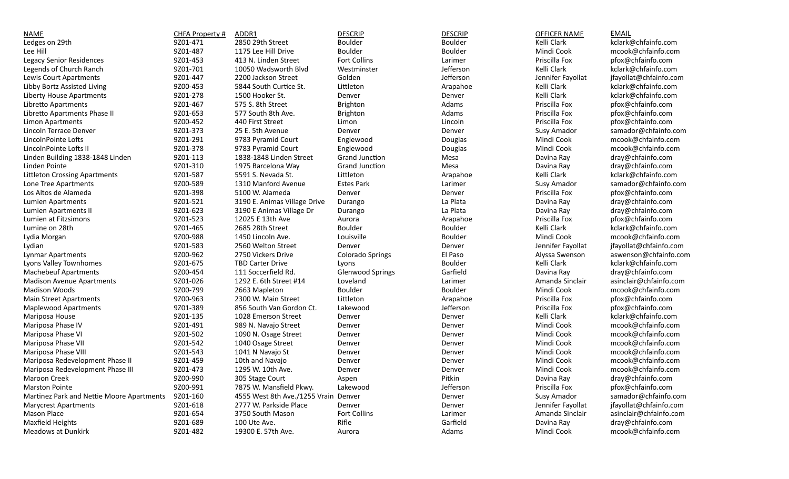| <b>NAME</b>                               | CHFA Property # | ADDR1                                | <b>DESCRIP</b>          | <b>DESCRIP</b> | <b>OFFICER NAME</b> | <b>EMAIL</b>           |
|-------------------------------------------|-----------------|--------------------------------------|-------------------------|----------------|---------------------|------------------------|
| Ledges on 29th                            | 9Z01-471        | 2850 29th Street                     | Boulder                 | Boulder        | Kelli Clark         | kclark@chfainfo.com    |
| Lee Hill                                  | 9Z01-487        | 1175 Lee Hill Drive                  | Boulder                 | Boulder        | Mindi Cook          | mcook@chfainfo.com     |
| Legacy Senior Residences                  | 9Z01-453        | 413 N. Linden Street                 | <b>Fort Collins</b>     | Larimer        | Priscilla Fox       | pfox@chfainfo.com      |
| Legends of Church Ranch                   | 9Z01-701        | 10050 Wadsworth Blyd                 | Westminster             | Jefferson      | Kelli Clark         | kclark@chfainfo.com    |
| Lewis Court Apartments                    | 9Z01-447        | 2200 Jackson Street                  | Golden                  | Jefferson      | Jennifer Fayollat   | jfayollat@chfainfo.com |
| Libby Bortz Assisted Living               | 9Z00-453        | 5844 South Curtice St.               | Littleton               | Arapahoe       | Kelli Clark         | kclark@chfainfo.com    |
| Liberty House Apartments                  | 9Z01-278        | 1500 Hooker St.                      | Denver                  | Denver         | Kelli Clark         | kclark@chfainfo.com    |
| Libretto Apartments                       | 9Z01-467        | 575 S. 8th Street                    | Brighton                | Adams          | Priscilla Fox       | pfox@chfainfo.com      |
| Libretto Apartments Phase II              | 9Z01-653        | 577 South 8th Ave.                   | Brighton                | Adams          | Priscilla Fox       | pfox@chfainfo.com      |
| Limon Apartments                          | 9Z00-452        | 440 First Street                     | Limon                   | Lincoln        | Priscilla Fox       | pfox@chfainfo.com      |
| Lincoln Terrace Denver                    | 9Z01-373        | 25 E. 5th Avenue                     | Denver                  | Denver         | Susy Amador         | samador@chfainfo.com   |
| LincolnPointe Lofts                       | 9Z01-291        | 9783 Pyramid Court                   | Englewood               | Douglas        | Mindi Cook          | mcook@chfainfo.com     |
| LincolnPointe Lofts II                    | 9Z01-378        | 9783 Pyramid Court                   | Englewood               | Douglas        | Mindi Cook          | mcook@chfainfo.com     |
| Linden Building 1838-1848 Linden          | 9Z01-113        | 1838-1848 Linden Street              | <b>Grand Junction</b>   | Mesa           | Davina Ray          | dray@chfainfo.com      |
| Linden Pointe                             | 9Z01-310        | 1975 Barcelona Way                   | <b>Grand Junction</b>   | Mesa           | Davina Ray          | dray@chfainfo.com      |
| <b>Littleton Crossing Apartments</b>      | 9Z01-587        | 5591 S. Nevada St.                   | Littleton               | Arapahoe       | Kelli Clark         | kclark@chfainfo.com    |
| Lone Tree Apartments                      | 9Z00-589        | 1310 Manford Avenue                  | <b>Estes Park</b>       | Larimer        | Susy Amador         | samador@chfainfo.com   |
| Los Altos de Alameda                      | 9Z01-398        | 5100 W. Alameda                      | Denver                  | Denver         | Priscilla Fox       | pfox@chfainfo.com      |
| Lumien Apartments                         | 9Z01-521        | 3190 E. Animas Village Drive         | Durango                 | La Plata       | Davina Ray          | dray@chfainfo.com      |
| Lumien Apartments II                      | 9Z01-623        | 3190 E Animas Village Dr             | Durango                 | La Plata       | Davina Ray          | dray@chfainfo.com      |
| Lumien at Fitzsimons                      | 9Z01-523        | 12025 E 13th Ave                     | Aurora                  | Arapahoe       | Priscilla Fox       | pfox@chfainfo.com      |
| Lumine on 28th                            | 9Z01-465        | 2685 28th Street                     | Boulder                 | Boulder        | Kelli Clark         | kclark@chfainfo.com    |
| Lydia Morgan                              | 9Z00-988        | 1450 Lincoln Ave.                    | Louisville              | Boulder        | Mindi Cook          | mcook@chfainfo.com     |
| Lydian                                    | 9Z01-583        | 2560 Welton Street                   | Denver                  | Denver         | Jennifer Fayollat   | jfayollat@chfainfo.com |
| Lynmar Apartments                         | 9Z00-962        | 2750 Vickers Drive                   | Colorado Springs        | El Paso        | Alyssa Swenson      | aswenson@chfainfo.com  |
| Lyons Valley Townhomes                    | 9Z01-675        | <b>TBD Carter Drive</b>              | Lyons                   | <b>Boulder</b> | Kelli Clark         | kclark@chfainfo.com    |
| <b>Machebeuf Apartments</b>               | 9Z00-454        | 111 Soccerfield Rd.                  | <b>Glenwood Springs</b> | Garfield       | Davina Ray          | dray@chfainfo.com      |
| <b>Madison Avenue Apartments</b>          | 9Z01-026        | 1292 E. 6th Street #14               | Loveland                | Larimer        | Amanda Sinclair     | asinclair@chfainfo.com |
| <b>Madison Woods</b>                      | 9Z00-799        | 2663 Mapleton                        | Boulder                 | Boulder        | Mindi Cook          | mcook@chfainfo.com     |
| <b>Main Street Apartments</b>             | 9Z00-963        | 2300 W. Main Street                  | Littleton               | Arapahoe       | Priscilla Fox       | pfox@chfainfo.com      |
| <b>Maplewood Apartments</b>               | 9Z01-389        | 856 South Van Gordon Ct.             | Lakewood                | Jefferson      | Priscilla Fox       | pfox@chfainfo.com      |
| Mariposa House                            | 9Z01-135        | 1028 Emerson Street                  | Denver                  | Denver         | Kelli Clark         | kclark@chfainfo.com    |
| Mariposa Phase IV                         | 9Z01-491        | 989 N. Navajo Street                 | Denver                  | Denver         | Mindi Cook          | mcook@chfainfo.com     |
| Mariposa Phase VI                         | 9Z01-502        | 1090 N. Osage Street                 | Denver                  | Denver         | Mindi Cook          | mcook@chfainfo.com     |
| Mariposa Phase VII                        | 9Z01-542        | 1040 Osage Street                    | Denver                  | Denver         | Mindi Cook          | mcook@chfainfo.com     |
| Mariposa Phase VIII                       | 9Z01-543        | 1041 N Navajo St                     | Denver                  | Denver         | Mindi Cook          | mcook@chfainfo.com     |
| Mariposa Redevelopment Phase II           | 9Z01-459        | 10th and Navajo                      | Denver                  | Denver         | Mindi Cook          | mcook@chfainfo.com     |
| Mariposa Redevelopment Phase III          | 9Z01-473        | 1295 W. 10th Ave.                    | Denver                  | Denver         | Mindi Cook          | mcook@chfainfo.com     |
| Maroon Creek                              | 9Z00-990        | 305 Stage Court                      | Aspen                   | Pitkin         | Davina Ray          | dray@chfainfo.com      |
| <b>Marston Pointe</b>                     | 9Z00-991        | 7875 W. Mansfield Pkwy.              | Lakewood                | Jefferson      | Priscilla Fox       | pfox@chfainfo.com      |
| Martinez Park and Nettie Moore Apartments | 9Z01-160        | 4555 West 8th Ave./1255 Vrain Denver |                         | Denver         | Susy Amador         | samador@chfainfo.com   |
| <b>Marycrest Apartments</b>               | 9Z01-618        | 2777 W. Parkside Place               | Denver                  | Denver         | Jennifer Fayollat   | jfayollat@chfainfo.com |
| Mason Place                               | 9Z01-654        | 3750 South Mason                     | Fort Collins            | Larimer        | Amanda Sinclair     | asinclair@chfainfo.com |
| Maxfield Heights                          | 9Z01-689        | 100 Ute Ave.                         | Rifle                   | Garfield       | Davina Ray          | dray@chfainfo.com      |
| Meadows at Dunkirk                        | 9Z01-482        | 19300 E. 57th Ave.                   | Aurora                  | Adams          | Mindi Cook          | mcook@chfainfo.com     |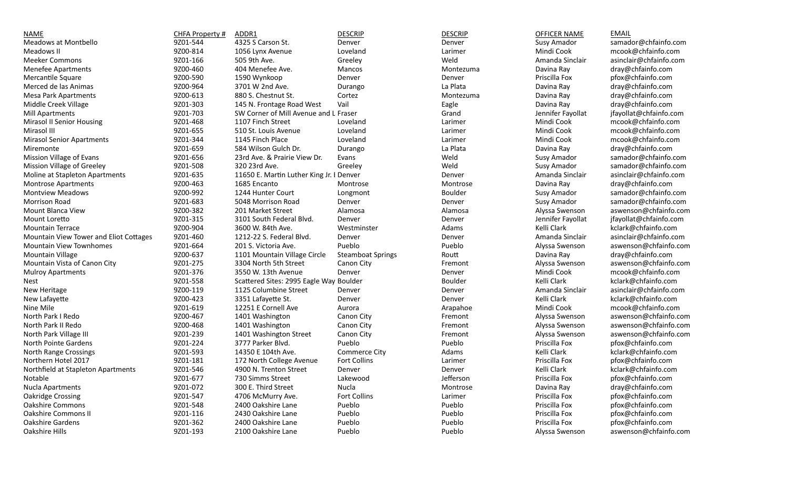| <b>NAME</b>                            | CHFA Property # | ADDR1                                    | <b>DESCRIP</b>           | <b>DESCRIP</b> | OFFICER NAME      | <b>EMAIL</b>           |
|----------------------------------------|-----------------|------------------------------------------|--------------------------|----------------|-------------------|------------------------|
| Meadows at Montbello                   | 9Z01-544        | 4325 S Carson St.                        | Denver                   | Denver         | Susy Amador       | samador@chfainfo.com   |
| Meadows II                             | 9Z00-814        | 1056 Lynx Avenue                         | Loveland                 | Larimer        | Mindi Cook        | mcook@chfainfo.com     |
| <b>Meeker Commons</b>                  | 9Z01-166        | 505 9th Ave.                             | Greeley                  | Weld           | Amanda Sinclair   | asinclair@chfainfo.com |
| Menefee Apartments                     | 9Z00-460        | 404 Menefee Ave.                         | Mancos                   | Montezuma      | Davina Ray        | dray@chfainfo.com      |
| Mercantile Square                      | 9Z00-590        | 1590 Wynkoop                             | Denver                   | Denver         | Priscilla Fox     | pfox@chfainfo.com      |
| Merced de las Animas                   | 9Z00-964        | 3701 W 2nd Ave.                          | Durango                  | La Plata       | Davina Ray        | dray@chfainfo.com      |
| <b>Mesa Park Apartments</b>            | 9Z00-613        | 880 S. Chestnut St.                      | Cortez                   | Montezuma      | Davina Ray        | dray@chfainfo.com      |
| Middle Creek Village                   | 9Z01-303        | 145 N. Frontage Road West                | Vail                     | Eagle          | Davina Ray        | dray@chfainfo.com      |
| <b>Mill Apartments</b>                 | 9Z01-703        | SW Corner of Mill Avenue and L Fraser    |                          | Grand          | Jennifer Fayollat | jfayollat@chfainfo.com |
| Mirasol II Senior Housing              | 9Z01-468        | 1107 Finch Street                        | Loveland                 | Larimer        | Mindi Cook        | mcook@chfainfo.com     |
| Mirasol III                            | 9Z01-655        | 510 St. Louis Avenue                     | Loveland                 | Larimer        | Mindi Cook        | mcook@chfainfo.com     |
| <b>Mirasol Senior Apartments</b>       | 9Z01-344        | 1145 Finch Place                         | Loveland                 | Larimer        | Mindi Cook        | mcook@chfainfo.com     |
| Miremonte                              | 9Z01-659        | 584 Wilson Gulch Dr.                     | Durango                  | La Plata       | Davina Ray        | dray@chfainfo.com      |
| Mission Village of Evans               | 9Z01-656        | 23rd Ave. & Prairie View Dr.             | Evans                    | Weld           | Susy Amador       | samador@chfainfo.com   |
| Mission Village of Greeley             | 9Z01-508        | 320 23rd Ave.                            | Greeley                  | Weld           | Susy Amador       | samador@chfainfo.com   |
| Moline at Stapleton Apartments         | 9Z01-635        | 11650 E. Martin Luther King Jr. I Denver |                          | Denver         | Amanda Sinclair   | asinclair@chfainfo.com |
| <b>Montrose Apartments</b>             | 9Z00-463        | 1685 Encanto                             | Montrose                 | Montrose       | Davina Ray        | dray@chfainfo.com      |
| <b>Montview Meadows</b>                | 9Z00-992        | 1244 Hunter Court                        | Longmont                 | Boulder        | Susy Amador       | samador@chfainfo.com   |
| <b>Morrison Road</b>                   | 9Z01-683        | 5048 Morrison Road                       | Denver                   | Denver         | Susy Amador       | samador@chfainfo.com   |
| Mount Blanca View                      | 9Z00-382        | 201 Market Street                        | Alamosa                  | Alamosa        | Alyssa Swenson    | aswenson@chfainfo.com  |
| Mount Loretto                          | 9Z01-315        | 3101 South Federal Blvd.                 | Denver                   | Denver         | Jennifer Fayollat | jfayollat@chfainfo.com |
| <b>Mountain Terrace</b>                | 9Z00-904        | 3600 W. 84th Ave.                        | Westminster              | Adams          | Kelli Clark       | kclark@chfainfo.com    |
| Mountain View Tower and Eliot Cottages | 9Z01-460        | 1212-22 S. Federal Blvd.                 | Denver                   | Denver         | Amanda Sinclair   | asinclair@chfainfo.com |
| <b>Mountain View Townhomes</b>         | 9Z01-664        | 201 S. Victoria Ave.                     | Pueblo                   | Pueblo         | Alyssa Swenson    | aswenson@chfainfo.com  |
| <b>Mountain Village</b>                | 9Z00-637        | 1101 Mountain Village Circle             | <b>Steamboat Springs</b> | Routt          | Davina Ray        | dray@chfainfo.com      |
| Mountain Vista of Canon City           | 9Z01-275        | 3304 North 5th Street                    | Canon City               | Fremont        | Alyssa Swenson    | aswenson@chfainfo.com  |
| <b>Mulroy Apartments</b>               | 9Z01-376        | 3550 W. 13th Avenue                      | Denver                   | Denver         | Mindi Cook        | mcook@chfainfo.com     |
| Nest                                   | 9Z01-558        | Scattered Sites: 2995 Eagle Way Boulder  |                          | Boulder        | Kelli Clark       | kclark@chfainfo.com    |
| New Heritage                           | 9Z00-119        | 1125 Columbine Street                    | Denver                   | Denver         | Amanda Sinclair   | asinclair@chfainfo.com |
| New Lafayette                          | 9Z00-423        | 3351 Lafayette St.                       | Denver                   | Denver         | Kelli Clark       | kclark@chfainfo.com    |
| Nine Mile                              | 9Z01-619        | 12251 E Cornell Ave                      | Aurora                   | Arapahoe       | Mindi Cook        | mcook@chfainfo.com     |
| North Park I Redo                      | 9Z00-467        | 1401 Washington                          | Canon City               | Fremont        | Alyssa Swenson    | aswenson@chfainfo.com  |
| North Park II Redo                     | 9Z00-468        | 1401 Washington                          | Canon City               | Fremont        | Alyssa Swenson    | aswenson@chfainfo.com  |
| North Park Village III                 | 9Z01-239        | 1401 Washington Street                   | Canon City               | Fremont        | Alyssa Swenson    | aswenson@chfainfo.com  |
| North Pointe Gardens                   | 9Z01-224        | 3777 Parker Blvd.                        | Pueblo                   | Pueblo         | Priscilla Fox     | pfox@chfainfo.com      |
| North Range Crossings                  | 9Z01-593        | 14350 E 104th Ave.                       | Commerce City            | Adams          | Kelli Clark       | kclark@chfainfo.com    |
| Northern Hotel 2017                    | 9Z01-181        | 172 North College Avenue                 | Fort Collins             | Larimer        | Priscilla Fox     | pfox@chfainfo.com      |
| Northfield at Stapleton Apartments     | 9Z01-546        | 4900 N. Trenton Street                   | Denver                   | Denver         | Kelli Clark       | kclark@chfainfo.com    |
| Notable                                | 9Z01-677        | 730 Simms Street                         | Lakewood                 | Jefferson      | Priscilla Fox     | pfox@chfainfo.com      |
| Nucla Apartments                       | 9Z01-072        | 300 E. Third Street                      | Nucla                    | Montrose       | Davina Ray        | dray@chfainfo.com      |
| <b>Oakridge Crossing</b>               | 9Z01-547        | 4706 McMurry Ave.                        | Fort Collins             | Larimer        | Priscilla Fox     | pfox@chfainfo.com      |
| <b>Oakshire Commons</b>                | 9Z01-548        | 2400 Oakshire Lane                       | Pueblo                   | Pueblo         | Priscilla Fox     | pfox@chfainfo.com      |
| Oakshire Commons II                    | 9Z01-116        | 2430 Oakshire Lane                       | Pueblo                   | Pueblo         | Priscilla Fox     | pfox@chfainfo.com      |
| Oakshire Gardens                       | 9Z01-362        | 2400 Oakshire Lane                       | Pueblo                   | Pueblo         | Priscilla Fox     | pfox@chfainfo.com      |
| Oakshire Hills                         | 9Z01-193        | 2100 Oakshire Lane                       | Pueblo                   | Pueblo         | Alyssa Swenson    | aswenson@chfainfo.com  |
|                                        |                 |                                          |                          |                |                   |                        |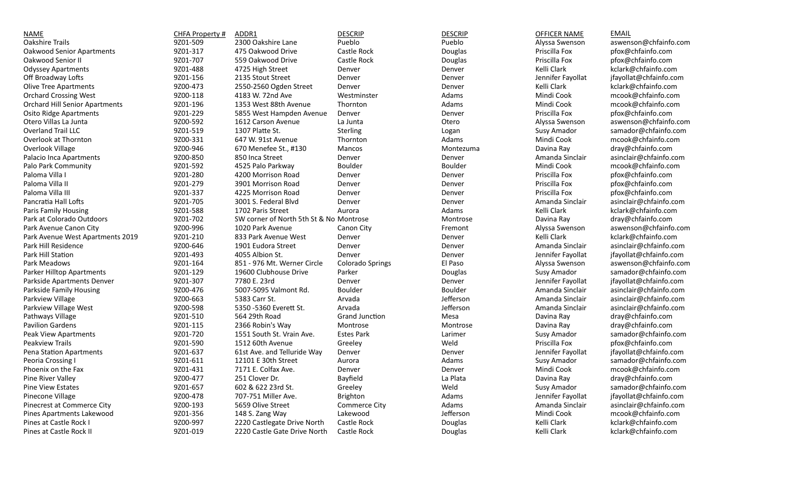| NAME                                  | CHFA Property # | ADDR1                                   | <b>DESCRIP</b>        | <b>DESCRIP</b> | OFFICER NAME      | <b>EMAIL</b>           |
|---------------------------------------|-----------------|-----------------------------------------|-----------------------|----------------|-------------------|------------------------|
| Oakshire Trails                       | 9Z01-509        | 2300 Oakshire Lane                      | Pueblo                | Pueblo         | Alyssa Swenson    | aswenson@chfainfo.com  |
| Oakwood Senior Apartments             | 9Z01-317        | 475 Oakwood Drive                       | Castle Rock           | Douglas        | Priscilla Fox     | pfox@chfainfo.com      |
| Oakwood Senior II                     | 9Z01-707        | 559 Oakwood Drive                       | Castle Rock           | Douglas        | Priscilla Fox     | pfox@chfainfo.com      |
| <b>Odyssey Apartments</b>             | 9Z01-488        | 4725 High Street                        | Denver                | Denver         | Kelli Clark       | kclark@chfainfo.com    |
| Off Broadway Lofts                    | 9Z01-156        | 2135 Stout Street                       | Denver                | Denver         | Jennifer Fayollat | jfayollat@chfainfo.com |
| <b>Olive Tree Apartments</b>          | 9Z00-473        | 2550-2560 Ogden Street                  | Denver                | Denver         | Kelli Clark       | kclark@chfainfo.com    |
| <b>Orchard Crossing West</b>          | 9Z00-118        | 4183 W. 72nd Ave                        | Westminster           | Adams          | Mindi Cook        | mcook@chfainfo.com     |
| <b>Orchard Hill Senior Apartments</b> | 9Z01-196        | 1353 West 88th Avenue                   | Thornton              | Adams          | Mindi Cook        | mcook@chfainfo.com     |
| <b>Osito Ridge Apartments</b>         | 9Z01-229        | 5855 West Hampden Avenue                | Denver                | Denver         | Priscilla Fox     | pfox@chfainfo.com      |
| Otero Villas La Junta                 | 9Z00-592        | 1612 Carson Avenue                      | La Junta              | Otero          | Alyssa Swenson    | aswenson@chfainfo.com  |
| <b>Overland Trail LLC</b>             | 9Z01-519        | 1307 Platte St.                         | Sterling              | Logan          | Susy Amador       | samador@chfainfo.com   |
| Overlook at Thornton                  | 9Z00-331        | 647 W. 91st Avenue                      | Thornton              | Adams          | Mindi Cook        | mcook@chfainfo.com     |
| Overlook Village                      | 9Z00-946        | 670 Menefee St., #130                   | Mancos                | Montezuma      | Davina Ray        | dray@chfainfo.com      |
| Palacio Inca Apartments               | 9Z00-850        | 850 Inca Street                         | Denver                | Denver         | Amanda Sinclair   | asinclair@chfainfo.com |
| Palo Park Community                   | 9Z01-592        | 4525 Palo Parkway                       | Boulder               | Boulder        | Mindi Cook        | mcook@chfainfo.com     |
| Paloma Villa I                        | 9Z01-280        | 4200 Morrison Road                      | Denver                | Denver         | Priscilla Fox     | pfox@chfainfo.com      |
| Paloma Villa II                       | 9Z01-279        | 3901 Morrison Road                      | Denver                | Denver         | Priscilla Fox     | pfox@chfainfo.com      |
| Paloma Villa III                      | 9Z01-337        | 4225 Morrison Road                      | Denver                | Denver         | Priscilla Fox     | pfox@chfainfo.com      |
| Pancratia Hall Lofts                  | 9Z01-705        | 3001 S. Federal Blvd                    | Denver                | Denver         | Amanda Sinclair   | asinclair@chfainfo.com |
| Paris Family Housing                  | 9Z01-588        | 1702 Paris Street                       | Aurora                | Adams          | Kelli Clark       | kclark@chfainfo.com    |
| Park at Colorado Outdoors             | 9Z01-702        | SW corner of North 5th St & No Montrose |                       | Montrose       | Davina Ray        | dray@chfainfo.com      |
| Park Avenue Canon City                | 9Z00-996        | 1020 Park Avenue                        | Canon City            | Fremont        | Alyssa Swenson    | aswenson@chfainfo.com  |
| Park Avenue West Apartments 2019      | 9Z01-210        | 833 Park Avenue West                    | Denver                | Denver         | Kelli Clark       | kclark@chfainfo.com    |
| Park Hill Residence                   | 9Z00-646        | 1901 Eudora Street                      | Denver                | Denver         | Amanda Sinclair   | asinclair@chfainfo.com |
| Park Hill Station                     | 9Z01-493        | 4055 Albion St.                         | Denver                | Denver         | Jennifer Fayollat | jfayollat@chfainfo.com |
| Park Meadows                          | 9Z01-164        | 851 - 976 Mt. Werner Circle             | Colorado Springs      | El Paso        | Alyssa Swenson    | aswenson@chfainfo.com  |
| <b>Parker Hilltop Apartments</b>      | 9Z01-129        | 19600 Clubhouse Drive                   | Parker                | Douglas        | Susy Amador       | samador@chfainfo.com   |
| Parkside Apartments Denver            | 9Z01-307        | 7780 E. 23rd                            | Denver                | Denver         | Jennifer Fayollat | ifayollat@chfainfo.com |
| Parkside Family Housing               | 9Z00-476        | 5007-5095 Valmont Rd.                   | Boulder               | Boulder        | Amanda Sinclair   | asinclair@chfainfo.com |
| Parkview Village                      | 9Z00-663        | 5383 Carr St.                           | Arvada                | Jefferson      | Amanda Sinclair   | asinclair@chfainfo.com |
| Parkview Village West                 | 9Z00-598        | 5350 -5360 Everett St.                  | Arvada                | Jefferson      | Amanda Sinclair   | asinclair@chfainfo.com |
| Pathways Village                      | 9Z01-510        | 564 29th Road                           | <b>Grand Junction</b> | Mesa           | Davina Ray        | dray@chfainfo.com      |
| <b>Pavilion Gardens</b>               | 9Z01-115        | 2366 Robin's Way                        | Montrose              | Montrose       | Davina Ray        | dray@chfainfo.com      |
| Peak View Apartments                  | 9Z01-720        | 1551 South St. Vrain Ave.               | <b>Estes Park</b>     | Larimer        | Susy Amador       | samador@chfainfo.com   |
| Peakview Trails                       | 9Z01-590        | 1512 60th Avenue                        | Greeley               | Weld           | Priscilla Fox     | pfox@chfainfo.com      |
| Pena Station Apartments               | 9Z01-637        | 61st Ave. and Telluride Way             | Denver                | Denver         | Jennifer Fayollat | jfayollat@chfainfo.com |
| Peoria Crossing I                     | 9Z01-611        | 12101 E 30th Street                     | Aurora                | Adams          | Susy Amador       | samador@chfainfo.com   |
| Phoenix on the Fax                    | 9Z01-431        | 7171 E. Colfax Ave.                     | Denver                | Denver         | Mindi Cook        | mcook@chfainfo.com     |
| Pine River Valley                     | 9Z00-477        | 251 Clover Dr.                          | Bayfield              | La Plata       | Davina Ray        | dray@chfainfo.com      |
| Pine View Estates                     | 9Z01-657        | 602 & 622 23rd St.                      | Greeley               | Weld           | Susy Amador       | samador@chfainfo.com   |
| Pinecone Village                      | 9Z00-478        | 707-751 Miller Ave.                     | <b>Brighton</b>       | Adams          | Jennifer Fayollat | jfayollat@chfainfo.com |
| Pinecrest at Commerce City            | 9Z00-193        | 5659 Olive Street                       | Commerce City         | Adams          | Amanda Sinclair   | asinclair@chfainfo.com |
| Pines Apartments Lakewood             | 9Z01-356        | 148 S. Zang Way                         | Lakewood              | Jefferson      | Mindi Cook        | mcook@chfainfo.com     |
| Pines at Castle Rock I                | 9Z00-997        | 2220 Castlegate Drive North             | Castle Rock           | Douglas        | Kelli Clark       | kclark@chfainfo.com    |
| Pines at Castle Rock II               | 9Z01-019        | 2220 Castle Gate Drive North            | Castle Rock           | Douglas        | Kelli Clark       | kclark@chfainfo.com    |
|                                       |                 |                                         |                       |                |                   |                        |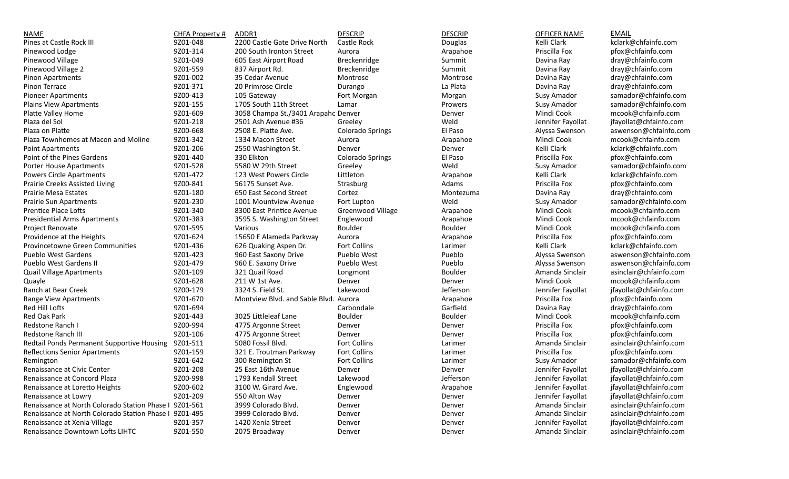| <b>NAME</b>                                            | CHFA Property # | ADDR1                                 | <b>DESCRIP</b>          | <b>DESCRIP</b>    | <b>OFFICER NAME</b> | <b>EMAIL</b>           |
|--------------------------------------------------------|-----------------|---------------------------------------|-------------------------|-------------------|---------------------|------------------------|
| Pines at Castle Rock III                               | 9Z01-048        | 2200 Castle Gate Drive North          | Castle Rock             | Douglas           | Kelli Clark         | kclark@chfainfo.com    |
| Pinewood Lodge                                         | 9Z01-314        | 200 South Ironton Street              | Aurora                  | Arapahoe          | Priscilla Fox       | pfox@chfainfo.com      |
| Pinewood Village                                       | 9Z01-049        | 605 East Airport Road                 | Breckenridge            | Summit            | Davina Ray          | dray@chfainfo.com      |
| Pinewood Village 2                                     | 9Z01-559        | 837 Airport Rd.                       | Breckenridge            | Summit            | Davina Ray          | dray@chfainfo.com      |
| Pinon Apartments                                       | 9Z01-002        | 35 Cedar Avenue                       | Montrose                | Montrose          | Davina Ray          | dray@chfainfo.com      |
| Pinon Terrace                                          | 9Z01-371        | 20 Primrose Circle                    | Durango                 | La Plata          | Davina Ray          | dray@chfainfo.com      |
| <b>Pioneer Apartments</b>                              | 9Z00-413        | 105 Gateway                           | Fort Morgan             | Morgan            | Susy Amador         | samador@chfainfo.com   |
| <b>Plains View Apartments</b>                          | 9Z01-155        | 1705 South 11th Street                | Lamar                   | Prowers           | Susy Amador         | samador@chfainfo.com   |
| Platte Valley Home                                     | 9Z01-609        | 3058 Champa St./3401 Arapahc Denver   |                         | Denver            | Mindi Cook          | mcook@chfainfo.com     |
| Plaza del Sol                                          | 9Z01-218        | 2501 Ash Avenue #36                   | Greeley                 | Weld              | Jennifer Fayollat   | jfayollat@chfainfo.com |
| Plaza on Platte                                        | 9Z00-668        | 2508 E. Platte Ave.                   | <b>Colorado Springs</b> | El Paso           | Alyssa Swenson      | aswenson@chfainfo.com  |
| Plaza Townhomes at Macon and Moline                    | 9Z01-342        | 1334 Macon Street                     | Aurora                  | Arapahoe          | Mindi Cook          | mcook@chfainfo.com     |
| <b>Point Apartments</b>                                | 9Z01-206        | 2550 Washington St.                   | Denver                  | Denver            | Kelli Clark         | kclark@chfainfo.com    |
| Point of the Pines Gardens                             | 9Z01-440        | 330 Elkton                            | <b>Colorado Springs</b> | El Paso           | Priscilla Fox       | pfox@chfainfo.com      |
| Porter House Apartments                                | 9Z01-528        | 5580 W 29th Street                    | Greeley                 | Weld              | Susy Amador         | samador@chfainfo.com   |
| <b>Powers Circle Apartments</b>                        | 9Z01-472        | 123 West Powers Circle                | Littleton               |                   | Kelli Clark         | kclark@chfainfo.com    |
| Prairie Creeks Assisted Living                         | 9Z00-841        | 56175 Sunset Ave.                     | Strasburg               | Arapahoe<br>Adams | Priscilla Fox       | pfox@chfainfo.com      |
|                                                        | 9Z01-180        |                                       |                         |                   |                     |                        |
| <b>Prairie Mesa Estates</b>                            |                 | 650 East Second Street                | Cortez                  | Montezuma         | Davina Ray          | dray@chfainfo.com      |
| <b>Prairie Sun Apartments</b>                          | 9Z01-230        | 1001 Mountview Avenue                 | Fort Lupton             | Weld              | Susy Amador         | samador@chfainfo.com   |
| <b>Prentice Place Lofts</b>                            | 9Z01-340        | 8300 East Printice Avenue             | Greenwood Village       | Arapahoe          | Mindi Cook          | mcook@chfainfo.com     |
| <b>Presidential Arms Apartments</b>                    | 9Z01-383        | 3595 S. Washington Street             | Englewood               | Arapahoe          | Mindi Cook          | mcook@chfainfo.com     |
| Project Renovate                                       | 9Z01-595        | Various                               | Boulder                 | Boulder           | Mindi Cook          | mcook@chfainfo.com     |
| Providence at the Heights                              | 9Z01-624        | 15650 E Alameda Parkway               | Aurora                  | Arapahoe          | Priscilla Fox       | pfox@chfainfo.com      |
| Provincetowne Green Communities                        | 9Z01-436        | 626 Quaking Aspen Dr.                 | Fort Collins            | Larimer           | Kelli Clark         | kclark@chfainfo.com    |
| Pueblo West Gardens                                    | 9Z01-423        | 960 East Saxony Drive                 | <b>Pueblo West</b>      | Pueblo            | Alyssa Swenson      | aswenson@chfainfo.com  |
| Pueblo West Gardens II                                 | 9Z01-479        | 960 E. Saxony Drive                   | Pueblo West             | Pueblo            | Alyssa Swenson      | aswenson@chfainfo.com  |
| <b>Quail Village Apartments</b>                        | 9Z01-109        | 321 Quail Road                        | Longmont                | Boulder           | Amanda Sinclair     | asinclair@chfainfo.com |
| Quayle                                                 | 9Z01-628        | 211 W 1st Ave.                        | Denver                  | Denver            | Mindi Cook          | mcook@chfainfo.com     |
| Ranch at Bear Creek                                    | 9Z00-179        | 3324 S. Field St.                     | Lakewood                | Jefferson         | Jennifer Fayollat   | jfayollat@chfainfo.com |
| Range View Apartments                                  | 9Z01-670        | Montview Blvd. and Sable Blvd. Aurora |                         | Arapahoe          | Priscilla Fox       | pfox@chfainfo.com      |
| Red Hill Lofts                                         | 9Z01-694        |                                       | Carbondale              | Garfield          | Davina Ray          | dray@chfainfo.com      |
| Red Oak Park                                           | 9Z01-443        | 3025 Littleleaf Lane                  | Boulder                 | Boulder           | Mindi Cook          | mcook@chfainfo.com     |
| Redstone Ranch I                                       | 9Z00-994        | 4775 Argonne Street                   | Denver                  | Denver            | Priscilla Fox       | pfox@chfainfo.com      |
| Redstone Ranch III                                     | 9Z01-106        | 4775 Argonne Street                   | Denver                  | Denver            | Priscilla Fox       | pfox@chfainfo.com      |
| Redtail Ponds Permanent Supportive Housing             | 9Z01-511        | 5080 Fossil Blvd.                     | Fort Collins            | Larimer           | Amanda Sinclair     | asinclair@chfainfo.com |
| Reflections Senior Apartments                          | 9Z01-159        | 321 E. Troutman Parkway               | <b>Fort Collins</b>     | Larimer           | Priscilla Fox       | pfox@chfainfo.com      |
| Remington                                              | 9Z01-642        | 300 Remington St                      | Fort Collins            | Larimer           | Susy Amador         | samador@chfainfo.com   |
| Renaissance at Civic Center                            | 9Z01-208        | 25 East 16th Avenue                   | Denver                  | Denver            | Jennifer Fayollat   | jfayollat@chfainfo.com |
| Renaissance at Concord Plaza                           | 9Z00-998        | 1793 Kendall Street                   | Lakewood                | Jefferson         | Jennifer Fayollat   | jfayollat@chfainfo.com |
| Renaissance at Loretto Heights                         | 9Z00-602        | 3100 W. Girard Ave.                   | Englewood               | Arapahoe          | Jennifer Fayollat   | jfayollat@chfainfo.com |
| Renaissance at Lowry                                   | 9Z01-209        | 550 Alton Way                         | Denver                  | Denver            | Jennifer Fayollat   | jfayollat@chfainfo.com |
| Renaissance at North Colorado Station Phase   9201-561 |                 | 3999 Colorado Blvd.                   | Denver                  | Denver            | Amanda Sinclair     | asinclair@chfainfo.com |
| Renaissance at North Colorado Station Phase   9Z01-495 |                 | 3999 Colorado Blvd.                   | Denver                  | Denver            | Amanda Sinclair     | asinclair@chfainfo.com |
| Renaissance at Xenia Village                           | 9Z01-357        | 1420 Xenia Street                     | Denver                  | Denver            | Jennifer Fayollat   | jfayollat@chfainfo.com |
| Renaissance Downtown Lofts LIHTC                       | 9Z01-550        | 2075 Broadway                         | Denver                  | Denver            | Amanda Sinclair     | asinclair@chfainfo.com |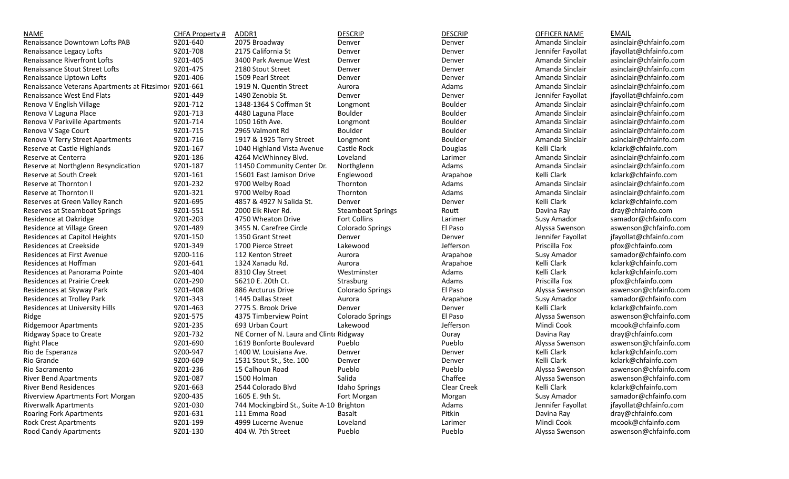| NAME                                         | CHFA Property # | ADDR1                                    | <b>DESCRIP</b>           | <b>DESCRIP</b> | OFFICER NAME      | <b>EMAIL</b>           |
|----------------------------------------------|-----------------|------------------------------------------|--------------------------|----------------|-------------------|------------------------|
| Renaissance Downtown Lofts PAB               | 9Z01-640        | 2075 Broadway                            | Denver                   | Denver         | Amanda Sinclair   | asinclair@chfainfo.com |
| Renaissance Legacy Lofts                     | 9Z01-708        | 2175 California St                       | Denver                   | Denver         | Jennifer Fayollat | jfayollat@chfainfo.com |
| Renaissance Riverfront Lofts                 | 9Z01-405        | 3400 Park Avenue West                    | Denver                   | Denver         | Amanda Sinclair   | asinclair@chfainfo.com |
| Renaissance Stout Street Lofts               | 9Z01-475        | 2180 Stout Street                        | Denver                   | Denver         | Amanda Sinclair   | asinclair@chfainfo.com |
| Renaissance Uptown Lofts                     | 9Z01-406        | 1509 Pearl Street                        | Denver                   | Denver         | Amanda Sinclair   | asinclair@chfainfo.com |
| Renaissance Veterans Apartments at Fitzsimor | 9Z01-661        | 1919 N. Quentin Street                   | Aurora                   | Adams          | Amanda Sinclair   | asinclair@chfainfo.com |
| Renaissance West End Flats                   | 9Z01-449        | 1490 Zenobia St.                         | Denver                   | Denver         | Jennifer Fayollat | jfayollat@chfainfo.com |
| Renova V English Village                     | 9Z01-712        | 1348-1364 S Coffman St                   | Longmont                 | Boulder        | Amanda Sinclair   | asinclair@chfainfo.com |
| Renova V Laguna Place                        | 9Z01-713        | 4480 Laguna Place                        | Boulder                  | Boulder        | Amanda Sinclair   | asinclair@chfainfo.com |
| Renova V Parkville Apartments                | 9Z01-714        | 1050 16th Ave.                           | Longmont                 | Boulder        | Amanda Sinclair   | asinclair@chfainfo.com |
| Renova V Sage Court                          | 9Z01-715        | 2965 Valmont Rd                          | Boulder                  | Boulder        | Amanda Sinclair   | asinclair@chfainfo.com |
| Renova V Terry Street Apartments             | 9Z01-716        | 1917 & 1925 Terry Street                 | Longmont                 | Boulder        | Amanda Sinclair   | asinclair@chfainfo.com |
| Reserve at Castle Highlands                  | 9Z01-167        | 1040 Highland Vista Avenue               | Castle Rock              | Douglas        | Kelli Clark       | kclark@chfainfo.com    |
| Reserve at Centerra                          | 9Z01-186        | 4264 McWhinney Blvd.                     | Loveland                 | Larimer        | Amanda Sinclair   | asinclair@chfainfo.com |
| Reserve at Northglenn Resyndication          | 9Z01-187        | 11450 Community Center Dr.               | Northglenn               | Adams          | Amanda Sinclair   | asinclair@chfainfo.com |
| Reserve at South Creek                       | 9Z01-161        | 15601 East Jamison Drive                 | Englewood                | Arapahoe       | Kelli Clark       | kclark@chfainfo.com    |
| Reserve at Thornton I                        | 9Z01-232        | 9700 Welby Road                          | Thornton                 | Adams          | Amanda Sinclair   | asinclair@chfainfo.com |
| Reserve at Thornton II                       | 9Z01-321        | 9700 Welby Road                          | Thornton                 | Adams          | Amanda Sinclair   | asinclair@chfainfo.com |
| Reserves at Green Valley Ranch               | 9Z01-695        | 4857 & 4927 N Salida St.                 | Denver                   | Denver         | Kelli Clark       | kclark@chfainfo.com    |
| Reserves at Steamboat Springs                | 9Z01-551        | 2000 Elk River Rd.                       | <b>Steamboat Springs</b> | Routt          | Davina Ray        | dray@chfainfo.com      |
| Residence at Oakridge                        | 9Z01-203        | 4750 Wheaton Drive                       | Fort Collins             | Larimer        | Susy Amador       | samador@chfainfo.com   |
| Residence at Village Green                   | 9Z01-489        | 3455 N. Carefree Circle                  | <b>Colorado Springs</b>  | El Paso        | Alyssa Swenson    | aswenson@chfainfo.com  |
| Residences at Capitol Heights                | 9Z01-150        | 1350 Grant Street                        | Denver                   | Denver         | Jennifer Fayollat | jfayollat@chfainfo.com |
| Residences at Creekside                      | 9Z01-349        | 1700 Pierce Street                       | Lakewood                 | Jefferson      | Priscilla Fox     | pfox@chfainfo.com      |
| Residences at First Avenue                   | 9Z00-116        | 112 Kenton Street                        | Aurora                   | Arapahoe       | Susy Amador       | samador@chfainfo.com   |
| Residences at Hoffman                        | 9Z01-641        | 1324 Xanadu Rd.                          | Aurora                   | Arapahoe       | Kelli Clark       | kclark@chfainfo.com    |
| Residences at Panorama Pointe                | 9Z01-404        | 8310 Clay Street                         | Westminster              | Adams          | Kelli Clark       | kclark@chfainfo.com    |
| Residences at Prairie Creek                  | 0Z01-290        | 56210 E. 20th Ct.                        | Strasburg                | Adams          | Priscilla Fox     | pfox@chfainfo.com      |
| Residences at Skyway Park                    | 9Z01-408        | 886 Arcturus Drive                       | <b>Colorado Springs</b>  | El Paso        | Alyssa Swenson    | aswenson@chfainfo.com  |
| Residences at Trolley Park                   | 9Z01-343        | 1445 Dallas Street                       | Aurora                   | Arapahoe       | Susy Amador       | samador@chfainfo.com   |
| Residences at University Hills               | 9Z01-463        | 2775 S. Brook Drive                      | Denver                   | Denver         | Kelli Clark       | kclark@chfainfo.com    |
| Ridge                                        | 9Z01-575        | 4375 Timberview Point                    | Colorado Springs         | El Paso        | Alyssa Swenson    | aswenson@chfainfo.com  |
| <b>Ridgemoor Apartments</b>                  | 9Z01-235        | 693 Urban Court                          | Lakewood                 | Jefferson      | Mindi Cook        | mcook@chfainfo.com     |
| Ridgway Space to Create                      | 9Z01-732        | NE Corner of N. Laura and Clint‹ Ridgway |                          | Ouray          | Davina Ray        | dray@chfainfo.com      |
| <b>Right Place</b>                           | 9Z01-690        | 1619 Bonforte Boulevard                  | Pueblo                   | Pueblo         | Alyssa Swenson    | aswenson@chfainfo.com  |
| Rio de Esperanza                             | 9Z00-947        | 1400 W. Louisiana Ave.                   | Denver                   | Denver         | Kelli Clark       | kclark@chfainfo.com    |
| Rio Grande                                   | 9Z00-609        | 1531 Stout St., Ste. 100                 | Denver                   | Denver         | Kelli Clark       | kclark@chfainfo.com    |
| Rio Sacramento                               | 9Z01-236        | 15 Calhoun Road                          | Pueblo                   | Pueblo         | Alyssa Swenson    | aswenson@chfainfo.com  |
| <b>River Bend Apartments</b>                 | 9Z01-087        | 1500 Holman                              | Salida                   | Chaffee        | Alyssa Swenson    | aswenson@chfainfo.com  |
| <b>River Bend Residences</b>                 | 9Z01-663        | 2544 Colorado Blvd                       | Idaho Springs            | Clear Creek    | Kelli Clark       | kclark@chfainfo.com    |
| <b>Riverview Apartments Fort Morgan</b>      | 9Z00-435        | 1605 E. 9th St.                          | Fort Morgan              | Morgan         | Susy Amador       | samador@chfainfo.com   |
| <b>Riverwalk Apartments</b>                  | 9Z01-030        | 744 Mockingbird St., Suite A-10 Brighton |                          | Adams          | Jennifer Fayollat | jfayollat@chfainfo.com |
| <b>Roaring Fork Apartments</b>               | 9Z01-631        | 111 Emma Road                            | Basalt                   | Pitkin         | Davina Ray        | dray@chfainfo.com      |
| <b>Rock Crest Apartments</b>                 | 9Z01-199        | 4999 Lucerne Avenue                      | Loveland                 | Larimer        | Mindi Cook        | mcook@chfainfo.com     |
| Rood Candy Apartments                        | 9Z01-130        | 404 W. 7th Street                        | Pueblo                   | Pueblo         | Alyssa Swenson    | aswenson@chfainfo.com  |
|                                              |                 |                                          |                          |                |                   |                        |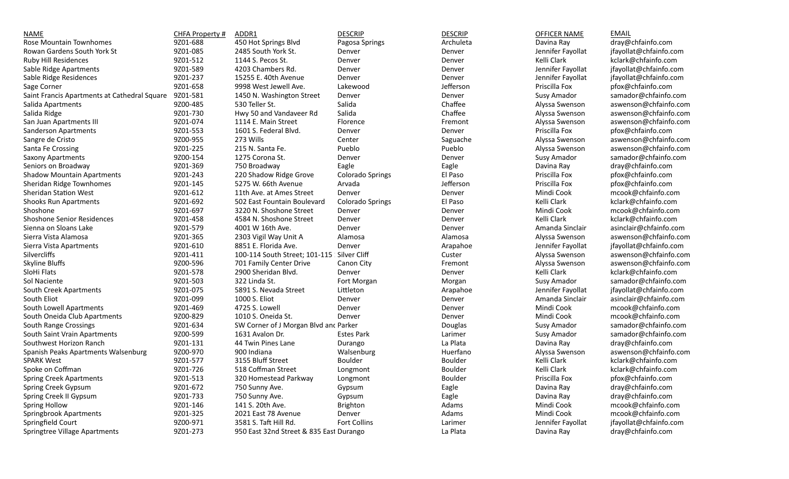| NAME                                         | CHFA Property # | ADDR1                                   | <b>DESCRIP</b>    | <b>DESCRIP</b> | OFFICER NAME      | <b>EMAIL</b>           |
|----------------------------------------------|-----------------|-----------------------------------------|-------------------|----------------|-------------------|------------------------|
| Rose Mountain Townhomes                      | 9Z01-688        | 450 Hot Springs Blvd                    | Pagosa Springs    | Archuleta      | Davina Ray        | dray@chfainfo.com      |
| Rowan Gardens South York St                  | 9Z01-085        | 2485 South York St.                     | Denver            | Denver         | Jennifer Fayollat | jfayollat@chfainfo.com |
| Ruby Hill Residences                         | 9Z01-512        | 1144 S. Pecos St.                       | Denver            | Denver         | Kelli Clark       | kclark@chfainfo.com    |
| Sable Ridge Apartments                       | 9Z01-589        | 4203 Chambers Rd.                       | Denver            | Denver         | Jennifer Fayollat | jfayollat@chfainfo.com |
| Sable Ridge Residences                       | 9Z01-237        | 15255 E. 40th Avenue                    | Denver            | Denver         | Jennifer Fayollat | jfayollat@chfainfo.com |
| Sage Corner                                  | 9Z01-658        | 9998 West Jewell Ave.                   | Lakewood          | Jefferson      | Priscilla Fox     | pfox@chfainfo.com      |
| Saint Francis Apartments at Cathedral Square | 9Z01-581        | 1450 N. Washington Street               | Denver            | Denver         | Susy Amador       | samador@chfainfo.com   |
| Salida Apartments                            | 9Z00-485        | 530 Teller St.                          | Salida            | Chaffee        | Alyssa Swenson    | aswenson@chfainfo.com  |
| Salida Ridge                                 | 9Z01-730        | Hwy 50 and Vandaveer Rd                 | Salida            | Chaffee        | Alyssa Swenson    | aswenson@chfainfo.com  |
| San Juan Apartments III                      | 9Z01-074        | 1114 E. Main Street                     | Florence          | Fremont        | Alyssa Swenson    | aswenson@chfainfo.com  |
| Sanderson Apartments                         | 9Z01-553        | 1601 S. Federal Blvd.                   | Denver            | Denver         | Priscilla Fox     | pfox@chfainfo.com      |
| Sangre de Cristo                             | 9Z00-955        | 273 Wills                               | Center            | Saguache       | Alyssa Swenson    | aswenson@chfainfo.com  |
| Santa Fe Crossing                            | 9Z01-225        | 215 N. Santa Fe.                        | Pueblo            | Pueblo         | Alyssa Swenson    | aswenson@chfainfo.com  |
| Saxony Apartments                            | 9Z00-154        | 1275 Corona St.                         | Denver            | Denver         | Susy Amador       | samador@chfainfo.com   |
| Seniors on Broadway                          | 9Z01-369        | 750 Broadway                            | Eagle             | Eagle          | Davina Ray        | dray@chfainfo.com      |
| <b>Shadow Mountain Apartments</b>            | 9Z01-243        | 220 Shadow Ridge Grove                  | Colorado Springs  | El Paso        | Priscilla Fox     | pfox@chfainfo.com      |
| Sheridan Ridge Townhomes                     | 9Z01-145        | 5275 W. 66th Avenue                     | Arvada            | Jefferson      | Priscilla Fox     | pfox@chfainfo.com      |
| Sheridan Station West                        | 9Z01-612        | 11th Ave. at Ames Street                | Denver            | Denver         | Mindi Cook        | mcook@chfainfo.com     |
| <b>Shooks Run Apartments</b>                 | 9Z01-692        | 502 East Fountain Boulevard             | Colorado Springs  | El Paso        | Kelli Clark       | kclark@chfainfo.com    |
| Shoshone                                     | 9Z01-697        | 3220 N. Shoshone Street                 | Denver            | Denver         | Mindi Cook        | mcook@chfainfo.com     |
| <b>Shoshone Senior Residences</b>            | 9Z01-458        | 4584 N. Shoshone Street                 | Denver            | Denver         | Kelli Clark       | kclark@chfainfo.com    |
| Sienna on Sloans Lake                        | 9Z01-579        | 4001 W 16th Ave.                        | Denver            | Denver         | Amanda Sinclair   | asinclair@chfainfo.com |
| Sierra Vista Alamosa                         | 9Z01-365        | 2303 Vigil Way Unit A                   | Alamosa           | Alamosa        | Alyssa Swenson    | aswenson@chfainfo.com  |
| Sierra Vista Apartments                      | 9Z01-610        | 8851 E. Florida Ave.                    | Denver            | Arapahoe       | Jennifer Fayollat | jfayollat@chfainfo.com |
| Silvercliffs                                 | 9Z01-411        | 100-114 South Street; 101-115           | Silver Cliff      | Custer         | Alyssa Swenson    | aswenson@chfainfo.com  |
| Skyline Bluffs                               | 9Z00-596        | 701 Family Center Drive                 | Canon City        | Fremont        | Alyssa Swenson    | aswenson@chfainfo.com  |
| SloHi Flats                                  | 9Z01-578        | 2900 Sheridan Blvd.                     | Denver            | Denver         | Kelli Clark       | kclark@chfainfo.com    |
| Sol Naciente                                 | 9Z01-503        | 322 Linda St.                           | Fort Morgan       | Morgan         | Susy Amador       | samador@chfainfo.com   |
| South Creek Apartments                       | 9Z01-075        | 5891 S. Nevada Street                   | Littleton         | Arapahoe       | Jennifer Fayollat | jfayollat@chfainfo.com |
| South Eliot                                  | 9Z01-099        | 1000 S. Eliot                           | Denver            | Denver         | Amanda Sinclair   | asinclair@chfainfo.com |
| South Lowell Apartments                      | 9Z01-469        | 4725 S. Lowell                          | Denver            | Denver         | Mindi Cook        | mcook@chfainfo.com     |
| South Oneida Club Apartments                 | 9Z00-829        | 1010 S. Oneida St.                      | Denver            | Denver         | Mindi Cook        | mcook@chfainfo.com     |
| South Range Crossings                        | 9Z01-634        | SW Corner of J Morgan Blvd and Parker   |                   | Douglas        | Susy Amador       | samador@chfainfo.com   |
| South Saint Vrain Apartments                 | 9Z00-599        | 1631 Avalon Dr.                         | <b>Estes Park</b> | Larimer        | Susy Amador       | samador@chfainfo.com   |
| Southwest Horizon Ranch                      | 9Z01-131        | 44 Twin Pines Lane                      | Durango           | La Plata       | Davina Ray        | dray@chfainfo.com      |
| Spanish Peaks Apartments Walsenburg          | 9Z00-970        | 900 Indiana                             | Walsenburg        | Huerfano       | Alyssa Swenson    | aswenson@chfainfo.com  |
| <b>SPARK West</b>                            | 9Z01-577        | 3155 Bluff Street                       | Boulder           | Boulder        | Kelli Clark       | kclark@chfainfo.com    |
| Spoke on Coffman                             | 9Z01-726        | 518 Coffman Street                      | Longmont          | <b>Boulder</b> | Kelli Clark       | kclark@chfainfo.com    |
| <b>Spring Creek Apartments</b>               | 9Z01-513        | 320 Homestead Parkway                   | Longmont          | Boulder        | Priscilla Fox     | pfox@chfainfo.com      |
| Spring Creek Gypsum                          | 9Z01-672        | 750 Sunny Ave.                          | Gypsum            | Eagle          | Davina Ray        | dray@chfainfo.com      |
| Spring Creek II Gypsum                       | 9Z01-733        | 750 Sunny Ave.                          | Gypsum            | Eagle          | Davina Ray        | dray@chfainfo.com      |
| Spring Hollow                                | 9Z01-146        | 141 S. 20th Ave.                        | Brighton          | Adams          | Mindi Cook        | mcook@chfainfo.com     |
| Springbrook Apartments                       | 9Z01-325        | 2021 East 78 Avenue                     | Denver            | Adams          | Mindi Cook        | mcook@chfainfo.com     |
| Springfield Court                            | 9Z00-971        | 3581 S. Taft Hill Rd.                   | Fort Collins      | Larimer        | Jennifer Fayollat | jfayollat@chfainfo.com |
| Springtree Village Apartments                | 9Z01-273        | 950 East 32nd Street & 835 East Durango |                   | La Plata       | Davina Ray        | dray@chfainfo.com      |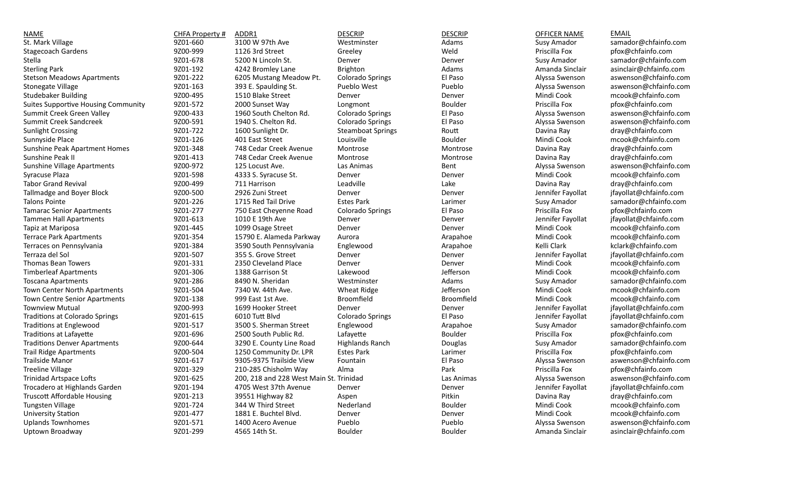| <b>NAME</b>                                | CHFA Property # | ADDR1                                   | <b>DESCRIP</b>           | <b>DESCRIP</b> | <b>OFFICER NAME</b> | <b>EMAIL</b>           |
|--------------------------------------------|-----------------|-----------------------------------------|--------------------------|----------------|---------------------|------------------------|
| St. Mark Village                           | 9Z01-660        | 3100 W 97th Ave                         | Westminster              | Adams          | Susy Amador         | samador@chfainfo.com   |
| <b>Stagecoach Gardens</b>                  | 9Z00-999        | 1126 3rd Street                         | Greeley                  | Weld           | Priscilla Fox       | pfox@chfainfo.com      |
| Stella                                     | 9Z01-678        | 5200 N Lincoln St.                      | Denver                   | Denver         | Susy Amador         | samador@chfainfo.com   |
| <b>Sterling Park</b>                       | 9Z01-192        | 4242 Bromley Lane                       | Brighton                 | Adams          | Amanda Sinclair     | asinclair@chfainfo.com |
| <b>Stetson Meadows Apartments</b>          | 9Z01-222        | 6205 Mustang Meadow Pt.                 | Colorado Springs         | El Paso        | Alyssa Swenson      | aswenson@chfainfo.com  |
| <b>Stonegate Village</b>                   | 9Z01-163        | 393 E. Spaulding St.                    | Pueblo West              | Pueblo         | Alyssa Swenson      | aswenson@chfainfo.com  |
| <b>Studebaker Building</b>                 | 9Z00-495        | 1510 Blake Street                       | Denver                   | Denver         | Mindi Cook          | mcook@chfainfo.com     |
| <b>Suites Supportive Housing Community</b> | 9Z01-572        | 2000 Sunset Way                         | Longmont                 | <b>Boulder</b> | Priscilla Fox       | pfox@chfainfo.com      |
| Summit Creek Green Valley                  | 9Z00-433        | 1960 South Chelton Rd.                  | <b>Colorado Springs</b>  | El Paso        | Alyssa Swenson      | aswenson@chfainfo.com  |
| Summit Creek Sandcreek                     | 9Z00-591        | 1940 S. Chelton Rd.                     | <b>Colorado Springs</b>  | El Paso        | Alyssa Swenson      | aswenson@chfainfo.com  |
| <b>Sunlight Crossing</b>                   | 9Z01-722        | 1600 Sunlight Dr.                       | <b>Steamboat Springs</b> | Routt          | Davina Ray          | dray@chfainfo.com      |
| Sunnyside Place                            | 9Z01-126        | 401 East Street                         | Louisville               | Boulder        | Mindi Cook          | mcook@chfainfo.com     |
| Sunshine Peak Apartment Homes              | 9Z01-348        | 748 Cedar Creek Avenue                  | Montrose                 | Montrose       | Davina Ray          | dray@chfainfo.com      |
| Sunshine Peak II                           | 9Z01-413        | 748 Cedar Creek Avenue                  | Montrose                 | Montrose       | Davina Ray          | dray@chfainfo.com      |
| <b>Sunshine Village Apartments</b>         | 9Z00-972        | 125 Locust Ave.                         | Las Animas               | Bent           | Alyssa Swenson      | aswenson@chfainfo.com  |
| Syracuse Plaza                             | 9Z01-598        | 4333 S. Syracuse St.                    | Denver                   | Denver         | Mindi Cook          | mcook@chfainfo.com     |
| <b>Tabor Grand Revival</b>                 | 9Z00-499        | 711 Harrison                            | Leadville                | Lake           | Davina Ray          | dray@chfainfo.com      |
| Tallmadge and Boyer Block                  | 9Z00-500        | 2926 Zuni Street                        | Denver                   | Denver         | Jennifer Fayollat   | jfayollat@chfainfo.com |
| Talons Pointe                              | 9Z01-226        | 1715 Red Tail Drive                     | <b>Estes Park</b>        | Larimer        | Susy Amador         | samador@chfainfo.com   |
| <b>Tamarac Senior Apartments</b>           | 9Z01-277        | 750 East Cheyenne Road                  | Colorado Springs         | El Paso        | Priscilla Fox       | pfox@chfainfo.com      |
| <b>Tammen Hall Apartments</b>              | 9Z01-613        | 1010 E 19th Ave                         | Denver                   | Denver         | Jennifer Fayollat   | jfayollat@chfainfo.com |
| Tapiz at Mariposa                          | 9Z01-445        | 1099 Osage Street                       | Denver                   | Denver         | Mindi Cook          | mcook@chfainfo.com     |
| <b>Terrace Park Apartments</b>             | 9Z01-354        | 15790 E. Alameda Parkway                | Aurora                   | Arapahoe       | Mindi Cook          | mcook@chfainfo.com     |
| Terraces on Pennsylvania                   | 9Z01-384        | 3590 South Pennsylvania                 | Englewood                | Arapahoe       | Kelli Clark         | kclark@chfainfo.com    |
| Terraza del Sol                            | 9Z01-507        | 355 S. Grove Street                     | Denver                   | Denver         | Jennifer Fayollat   | jfayollat@chfainfo.com |
| Thomas Bean Towers                         | 9Z01-331        | 2350 Cleveland Place                    | Denver                   | Denver         | Mindi Cook          | mcook@chfainfo.com     |
| <b>Timberleaf Apartments</b>               | 9Z01-306        | 1388 Garrison St                        | Lakewood                 | Jefferson      | Mindi Cook          | mcook@chfainfo.com     |
| <b>Toscana Apartments</b>                  | 9Z01-286        | 8490 N. Sheridan                        | Westminster              | Adams          | Susy Amador         | samador@chfainfo.com   |
| Town Center North Apartments               | 9Z01-504        | 7340 W. 44th Ave.                       | Wheat Ridge              | Jefferson      | Mindi Cook          | mcook@chfainfo.com     |
| Town Centre Senior Apartments              | 9Z01-138        | 999 East 1st Ave.                       | Broomfield               | Broomfield     | Mindi Cook          | mcook@chfainfo.com     |
| <b>Townview Mutual</b>                     | 9Z00-993        | 1699 Hooker Street                      | Denver                   | Denver         | Jennifer Fayollat   | jfayollat@chfainfo.com |
| Traditions at Colorado Springs             | 9Z01-615        | 6010 Tutt Blvd                          | Colorado Springs         | El Paso        | Jennifer Fayollat   | jfayollat@chfainfo.com |
| <b>Traditions at Englewood</b>             | 9Z01-517        | 3500 S. Sherman Street                  | Englewood                | Arapahoe       | Susy Amador         | samador@chfainfo.com   |
| Traditions at Lafayette                    | 9Z01-696        | 2500 South Public Rd.                   | Lafayette                | Boulder        | Priscilla Fox       | pfox@chfainfo.com      |
| <b>Traditions Denver Apartments</b>        | 9Z00-644        | 3290 E. County Line Road                | <b>Highlands Ranch</b>   | Douglas        | Susy Amador         | samador@chfainfo.com   |
| <b>Trail Ridge Apartments</b>              | 9Z00-504        | 1250 Community Dr. LPR                  | <b>Estes Park</b>        | Larimer        | Priscilla Fox       | pfox@chfainfo.com      |
| Trailside Manor                            | 9Z01-617        | 9305-9375 Trailside View                | Fountain                 | El Paso        | Alyssa Swenson      | aswenson@chfainfo.com  |
| <b>Treeline Village</b>                    | 9Z01-329        | 210-285 Chisholm Way                    | Alma                     | Park           | Priscilla Fox       | pfox@chfainfo.com      |
| Trinidad Artspace Lofts                    | 9Z01-625        | 200, 218 and 228 West Main St. Trinidad |                          | Las Animas     | Alyssa Swenson      | aswenson@chfainfo.com  |
| Trocadero at Highlands Garden              | 9Z01-194        | 4705 West 37th Avenue                   | Denver                   | Denver         | Jennifer Fayollat   | jfayollat@chfainfo.com |
| <b>Truscott Affordable Housing</b>         | 9Z01-213        | 39551 Highway 82                        | Aspen                    | Pitkin         | Davina Ray          | dray@chfainfo.com      |
| <b>Tungsten Village</b>                    | 9Z01-724        | 344 W Third Street                      | Nederland                | Boulder        | Mindi Cook          | mcook@chfainfo.com     |
| University Station                         | 9Z01-477        | 1881 E. Buchtel Blvd.                   | Denver                   | Denver         | Mindi Cook          | mcook@chfainfo.com     |
| <b>Uplands Townhomes</b>                   | 9Z01-571        | 1400 Acero Avenue                       | Pueblo                   | Pueblo         | Alyssa Swenson      | aswenson@chfainfo.com  |
| Uptown Broadway                            | 9Z01-299        | 4565 14th St.                           | Boulder                  | <b>Boulder</b> | Amanda Sinclair     | asinclair@chfainfo.com |
|                                            |                 |                                         |                          |                |                     |                        |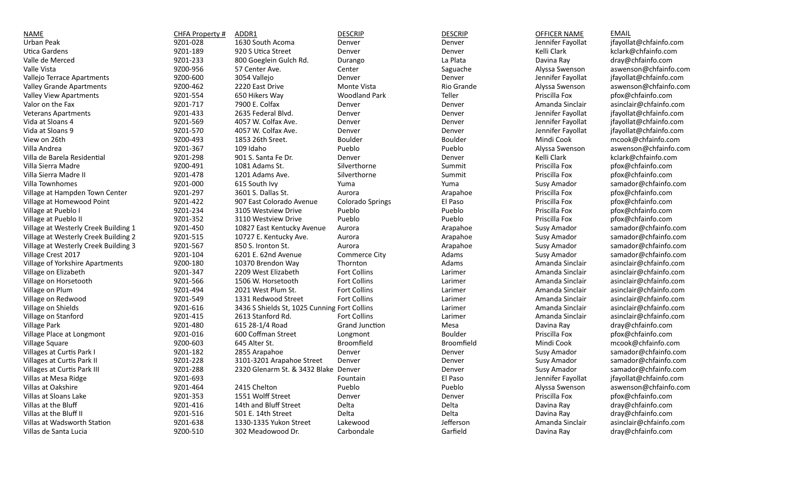| NAME                                          | CHFA Property # | ADDR1                                        | <b>DESCRIP</b>          | <b>DESCRIP</b> | OFFICER NAME      | <b>EMAIL</b>           |
|-----------------------------------------------|-----------------|----------------------------------------------|-------------------------|----------------|-------------------|------------------------|
| Urban Peak                                    | 9Z01-028        | 1630 South Acoma                             | Denver                  | Denver         | Jennifer Fayollat | jfayollat@chfainfo.com |
| Utica Gardens                                 | 9Z01-189        | 920 S Utica Street                           | Denver                  | Denver         | Kelli Clark       | kclark@chfainfo.com    |
| Valle de Merced                               | 9Z01-233        | 800 Goeglein Gulch Rd.                       | Durango                 | La Plata       | Davina Ray        | dray@chfainfo.com      |
| Valle Vista                                   | 9Z00-956        | 57 Center Ave.                               | Center                  | Saguache       | Alyssa Swenson    | aswenson@chfainfo.com  |
| Vallejo Terrace Apartments                    | 9Z00-600        | 3054 Vallejo                                 | Denver                  | Denver         | Jennifer Fayollat | jfayollat@chfainfo.com |
| Valley Grande Apartments                      | 9Z00-462        | 2220 East Drive                              | Monte Vista             | Rio Grande     | Alyssa Swenson    | aswenson@chfainfo.com  |
| <b>Valley View Apartments</b>                 | 9Z01-554        | 650 Hikers Way                               | <b>Woodland Park</b>    | Teller         | Priscilla Fox     | pfox@chfainfo.com      |
| Valor on the Fax                              | 9Z01-717        | 7900 E. Colfax                               | Denver                  | Denver         | Amanda Sinclair   | asinclair@chfainfo.com |
| <b>Veterans Apartments</b>                    | 9Z01-433        | 2635 Federal Blvd.                           | Denver                  | Denver         | Jennifer Fayollat | jfayollat@chfainfo.com |
| Vida at Sloans 4                              | 9Z01-569        | 4057 W. Colfax Ave.                          | Denver                  | Denver         | Jennifer Fayollat | jfayollat@chfainfo.com |
| Vida at Sloans 9                              | 9Z01-570        | 4057 W. Colfax Ave.                          | Denver                  | Denver         | Jennifer Fayollat | jfayollat@chfainfo.com |
| View on 26th                                  | 9Z00-493        | 1853 26th Sreet.                             | Boulder                 | <b>Boulder</b> | Mindi Cook        | mcook@chfainfo.com     |
| Villa Andrea                                  | 9Z01-367        | 109 Idaho                                    | Pueblo                  | Pueblo         | Alyssa Swenson    | aswenson@chfainfo.com  |
| Villa de Barela Residential                   | 9Z01-298        | 901 S. Santa Fe Dr.                          | Denver                  | Denver         | Kelli Clark       | kclark@chfainfo.com    |
| Villa Sierra Madre                            | 9Z00-491        | 1081 Adams St.                               | Silverthorne            | Summit         | Priscilla Fox     | pfox@chfainfo.com      |
| Villa Sierra Madre II                         | 9Z01-478        | 1201 Adams Ave.                              | Silverthorne            | Summit         | Priscilla Fox     | pfox@chfainfo.com      |
| Villa Townhomes                               | 9Z01-000        | 615 South Ivy                                | Yuma                    | Yuma           | Susy Amador       | samador@chfainfo.com   |
| Village at Hampden Town Center                | 9Z01-297        | 3601 S. Dallas St.                           | Aurora                  | Arapahoe       | Priscilla Fox     | pfox@chfainfo.com      |
| Village at Homewood Point                     | 9Z01-422        | 907 East Colorado Avenue                     | <b>Colorado Springs</b> | El Paso        | Priscilla Fox     | pfox@chfainfo.com      |
| Village at Pueblo I                           | 9Z01-234        | 3105 Westview Drive                          | Pueblo                  | Pueblo         | Priscilla Fox     | pfox@chfainfo.com      |
| Village at Pueblo II                          | 9Z01-352        | 3110 Westview Drive                          | Pueblo                  | Pueblo         | Priscilla Fox     | pfox@chfainfo.com      |
| Village at Westerly Creek Building 1          | 9Z01-450        | 10827 East Kentucky Avenue                   | Aurora                  | Arapahoe       | Susy Amador       | samador@chfainfo.com   |
| Village at Westerly Creek Building 2          | 9Z01-515        | 10727 E. Kentucky Ave.                       | Aurora                  | Arapahoe       | Susy Amador       | samador@chfainfo.com   |
| Village at Westerly Creek Building 3          | 9Z01-567        | 850 S. Ironton St.                           | Aurora                  | Arapahoe       | Susy Amador       | samador@chfainfo.com   |
| Village Crest 2017                            | 9Z01-104        | 6201 E. 62nd Avenue                          | Commerce City           | Adams          | Susy Amador       | samador@chfainfo.com   |
| Village of Yorkshire Apartments               | 9Z00-180        | 10370 Brendon Way                            | Thornton                | Adams          | Amanda Sinclair   | asinclair@chfainfo.com |
| Village on Elizabeth                          | 9Z01-347        | 2209 West Elizabeth                          | <b>Fort Collins</b>     | Larimer        | Amanda Sinclair   | asinclair@chfainfo.com |
| Village on Horsetooth                         | 9Z01-566        | 1506 W. Horsetooth                           | <b>Fort Collins</b>     | Larimer        | Amanda Sinclair   | asinclair@chfainfo.com |
| Village on Plum                               | 9Z01-494        | 2021 West Plum St.                           | <b>Fort Collins</b>     | Larimer        | Amanda Sinclair   | asinclair@chfainfo.com |
| Village on Redwood                            | 9Z01-549        | 1331 Redwood Street                          | Fort Collins            | Larimer        | Amanda Sinclair   | asinclair@chfainfo.com |
| Village on Shields                            | 9Z01-616        | 3436 S Shields St, 1025 Cunning Fort Collins |                         | Larimer        | Amanda Sinclair   | asinclair@chfainfo.com |
| Village on Stanford                           | 9Z01-415        | 2613 Stanford Rd.                            | Fort Collins            | Larimer        | Amanda Sinclair   | asinclair@chfainfo.com |
| <b>Village Park</b>                           | 9Z01-480        | 615 28-1/4 Road                              | <b>Grand Junction</b>   | Mesa           | Davina Ray        | dray@chfainfo.com      |
| Village Place at Longmont                     | 9Z01-016        | 600 Coffman Street                           | Longmont                | Boulder        | Priscilla Fox     | pfox@chfainfo.com      |
| Village Square                                | 9Z00-603        | 645 Alter St.                                | <b>Broomfield</b>       | Broomfield     | Mindi Cook        | mcook@chfainfo.com     |
| Villages at Curtis Park I                     | 9Z01-182        | 2855 Arapahoe                                | Denver                  | Denver         | Susy Amador       | samador@chfainfo.com   |
| Villages at Curtis Park II                    | 9Z01-228        | 3101-3201 Arapahoe Street                    | Denver                  | Denver         | Susy Amador       | samador@chfainfo.com   |
| Villages at Curtis Park III                   | 9Z01-288        | 2320 Glenarm St. & 3432 Blake Denver         |                         | Denver         | Susy Amador       | samador@chfainfo.com   |
| Villas at Mesa Ridge                          | 9Z01-693        |                                              | Fountain                | El Paso        | Jennifer Fayollat | jfayollat@chfainfo.com |
| Villas at Oakshire                            | 9Z01-464        | 2415 Chelton                                 | Pueblo                  | Pueblo         | Alyssa Swenson    | aswenson@chfainfo.com  |
| Villas at Sloans Lake                         | 9Z01-353        | 1551 Wolff Street                            | Denver                  | Denver         | Priscilla Fox     | pfox@chfainfo.com      |
|                                               | 9Z01-416        |                                              | Delta                   |                |                   | dray@chfainfo.com      |
| Villas at the Bluff<br>Villas at the Bluff II | 9Z01-516        | 14th and Bluff Street                        | Delta                   | Delta          | Davina Ray        |                        |
|                                               |                 | 501 E. 14th Street                           |                         | Delta          | Davina Ray        | dray@chfainfo.com      |
| Villas at Wadsworth Station                   | 9Z01-638        | 1330-1335 Yukon Street                       | Lakewood                | Jefferson      | Amanda Sinclair   | asinclair@chfainfo.com |
| Villas de Santa Lucia                         | 9Z00-510        | 302 Meadowood Dr.                            | Carbondale              | Garfield       | Davina Ray        | dray@chfainfo.com      |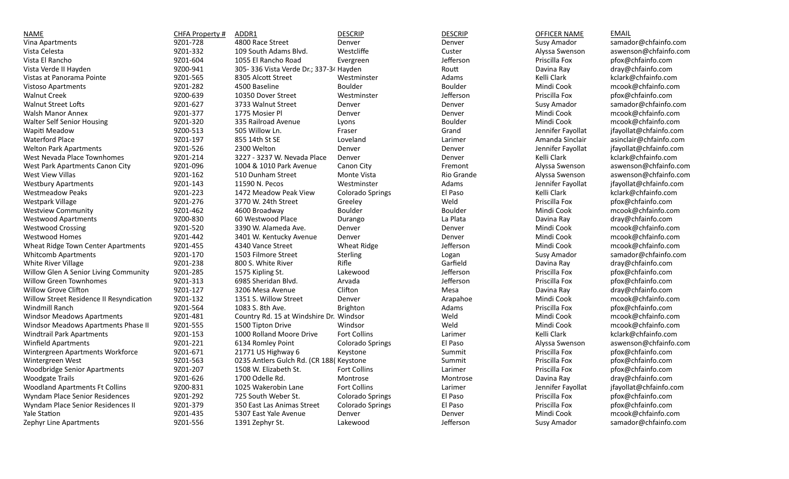| <b>NAME</b>                                | CHFA Property # | ADDR1                                    | <b>DESCRIP</b>          | <b>DESCRIP</b> | <b>OFFICER NAME</b> | <b>EMAIL</b>           |
|--------------------------------------------|-----------------|------------------------------------------|-------------------------|----------------|---------------------|------------------------|
| Vina Apartments                            | 9Z01-728        | 4800 Race Street                         | Denver                  | Denver         | Susy Amador         | samador@chfainfo.com   |
| Vista Celesta                              | 9Z01-332        | 109 South Adams Blvd.                    | Westcliffe              | Custer         | Alyssa Swenson      | aswenson@chfainfo.com  |
| Vista El Rancho                            | 9Z01-604        | 1055 El Rancho Road                      | Evergreen               | Jefferson      | Priscilla Fox       | pfox@chfainfo.com      |
| Vista Verde II Hayden                      | 9Z00-941        | 305-336 Vista Verde Dr.; 337-34 Hayden   |                         | Routt          | Davina Ray          | dray@chfainfo.com      |
| Vistas at Panorama Pointe                  | 9Z01-565        | 8305 Alcott Street                       | Westminster             | Adams          | Kelli Clark         | kclark@chfainfo.com    |
| <b>Vistoso Apartments</b>                  | 9Z01-282        | 4500 Baseline                            | Boulder                 | Boulder        | Mindi Cook          | mcook@chfainfo.com     |
| <b>Walnut Creek</b>                        | 9Z00-639        | 10350 Dover Street                       | Westminster             | Jefferson      | Priscilla Fox       | pfox@chfainfo.com      |
| <b>Walnut Street Lofts</b>                 | 9Z01-627        | 3733 Walnut Street                       | Denver                  | Denver         | Susy Amador         | samador@chfainfo.com   |
| <b>Walsh Manor Annex</b>                   | 9Z01-377        | 1775 Mosier Pl                           | Denver                  | Denver         | Mindi Cook          | mcook@chfainfo.com     |
| <b>Walter Self Senior Housing</b>          | 9Z01-320        | 335 Railroad Avenue                      | Lyons                   | Boulder        | Mindi Cook          | mcook@chfainfo.com     |
| Wapiti Meadow                              | 9Z00-513        | 505 Willow Ln.                           | Fraser                  | Grand          | Jennifer Fayollat   | jfayollat@chfainfo.com |
| <b>Waterford Place</b>                     | 9Z01-197        | 855 14th St SE                           | Loveland                | Larimer        | Amanda Sinclair     | asinclair@chfainfo.com |
| <b>Welton Park Apartments</b>              | 9Z01-526        | 2300 Welton                              | Denver                  | Denver         | Jennifer Fayollat   | jfayollat@chfainfo.com |
| West Nevada Place Townhomes                | 9Z01-214        | 3227 - 3237 W. Nevada Place              | Denver                  | Denver         | Kelli Clark         | kclark@chfainfo.com    |
| West Park Apartments Canon City            | 9Z01-096        | 1004 & 1010 Park Avenue                  | Canon City              | Fremont        | Alyssa Swenson      | aswenson@chfainfo.com  |
| West View Villas                           | 9Z01-162        | 510 Dunham Street                        | Monte Vista             | Rio Grande     | Alyssa Swenson      | aswenson@chfainfo.com  |
| <b>Westbury Apartments</b>                 | 9Z01-143        | 11590 N. Pecos                           | Westminster             | Adams          | Jennifer Fayollat   | jfayollat@chfainfo.com |
| <b>Westmeadow Peaks</b>                    | 9Z01-223        | 1472 Meadow Peak View                    | <b>Colorado Springs</b> | El Paso        | Kelli Clark         | kclark@chfainfo.com    |
| Westpark Village                           | 9Z01-276        | 3770 W. 24th Street                      | Greeley                 | Weld           | Priscilla Fox       | pfox@chfainfo.com      |
| <b>Westview Community</b>                  | 9Z01-462        | 4600 Broadway                            | Boulder                 | Boulder        | Mindi Cook          | mcook@chfainfo.com     |
| <b>Westwood Apartments</b>                 | 9Z00-830        | 60 Westwood Place                        | Durango                 | La Plata       | Davina Ray          | dray@chfainfo.com      |
| <b>Westwood Crossing</b>                   | 9Z01-520        | 3390 W. Alameda Ave.                     | Denver                  | Denver         | Mindi Cook          | mcook@chfainfo.com     |
| <b>Westwood Homes</b>                      | 9Z01-442        | 3401 W. Kentucky Avenue                  | Denver                  | Denver         | Mindi Cook          | mcook@chfainfo.com     |
| Wheat Ridge Town Center Apartments         | 9Z01-455        | 4340 Vance Street                        | <b>Wheat Ridge</b>      | Jefferson      | Mindi Cook          | mcook@chfainfo.com     |
| <b>Whitcomb Apartments</b>                 | 9Z01-170        | 1503 Filmore Street                      | Sterling                | Logan          | Susy Amador         | samador@chfainfo.com   |
| <b>White River Village</b>                 | 9Z01-238        | 800 S. White River                       | Rifle                   | Garfield       | Davina Ray          | dray@chfainfo.com      |
| Willow Glen A Senior Living Community      | 9Z01-285        | 1575 Kipling St.                         | Lakewood                | Jefferson      | Priscilla Fox       | pfox@chfainfo.com      |
| <b>Willow Green Townhomes</b>              | 9Z01-313        | 6985 Sheridan Blvd.                      | Arvada                  | Jefferson      | Priscilla Fox       | pfox@chfainfo.com      |
| <b>Willow Grove Clifton</b>                | 9Z01-127        | 3206 Mesa Avenue                         | Clifton                 | Mesa           | Davina Ray          | dray@chfainfo.com      |
| Willow Street Residence II Resyndication   | 9Z01-132        | 1351 S. Willow Street                    | Denver                  | Arapahoe       | Mindi Cook          | mcook@chfainfo.com     |
| Windmill Ranch                             | 9Z01-564        | 1083 S. 8th Ave.                         | Brighton                | Adams          | Priscilla Fox       | pfox@chfainfo.com      |
| <b>Windsor Meadows Apartments</b>          | 9Z01-481        | Country Rd. 15 at Windshire Dr. Windsor  |                         | Weld           | Mindi Cook          | mcook@chfainfo.com     |
| <b>Windsor Meadows Apartments Phase II</b> | 9Z01-555        | 1500 Tipton Drive                        | Windsor                 | Weld           | Mindi Cook          | mcook@chfainfo.com     |
| <b>Windtrail Park Apartments</b>           | 9Z01-153        | 1000 Rolland Moore Drive                 | <b>Fort Collins</b>     | Larimer        | Kelli Clark         | kclark@chfainfo.com    |
| <b>Winfield Apartments</b>                 | 9Z01-221        | 6134 Romley Point                        | Colorado Springs        | El Paso        | Alyssa Swenson      | aswenson@chfainfo.com  |
| Wintergreen Apartments Workforce           | 9Z01-671        | 21771 US Highway 6                       | Keystone                | Summit         | Priscilla Fox       | pfox@chfainfo.com      |
| Wintergreen West                           | 9Z01-563        | 0235 Antlers Gulch Rd. (CR 188) Keystone |                         | Summit         | Priscilla Fox       | pfox@chfainfo.com      |
| <b>Woodbridge Senior Apartments</b>        | 9Z01-207        | 1508 W. Elizabeth St.                    | Fort Collins            | Larimer        | Priscilla Fox       | pfox@chfainfo.com      |
| <b>Woodgate Trails</b>                     | 9Z01-626        | 1700 Odelle Rd.                          | Montrose                | Montrose       | Davina Ray          | dray@chfainfo.com      |
| <b>Woodland Apartments Ft Collins</b>      | 9Z00-831        | 1025 Wakerobin Lane                      | Fort Collins            | Larimer        | Jennifer Fayollat   | jfayollat@chfainfo.com |
| Wyndam Place Senior Residences             | 9Z01-292        | 725 South Weber St.                      | <b>Colorado Springs</b> | El Paso        | Priscilla Fox       | pfox@chfainfo.com      |
| Wyndam Place Senior Residences II          | 9Z01-379        | 350 East Las Animas Street               | <b>Colorado Springs</b> | El Paso        | Priscilla Fox       | pfox@chfainfo.com      |
| Yale Station                               | 9Z01-435        | 5307 East Yale Avenue                    | Denver                  | Denver         | Mindi Cook          | mcook@chfainfo.com     |
| <b>Zephyr Line Apartments</b>              | 9Z01-556        | 1391 Zephyr St.                          | Lakewood                | Jefferson      | Susy Amador         | samador@chfainfo.com   |